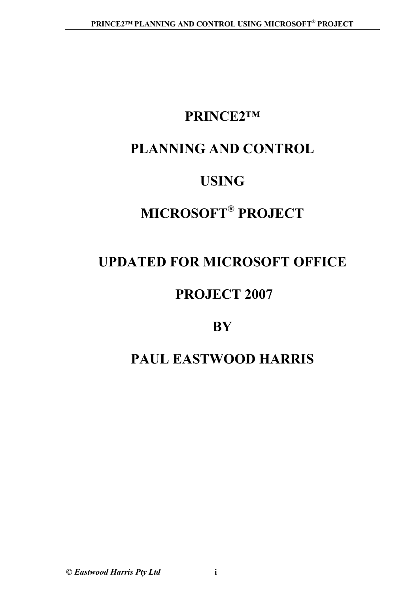# **PRINCE2™**

**PLANNING AND CONTROL** 

**USING** 

**MICROSOFT® PROJECT** 

**UPDATED FOR MICROSOFT OFFICE** 

 **PROJECT 2007** 

*© Eastwood Harris Pty Ltd* **i** 

# **PAUL EASTWOOD HARRIS**

**BY**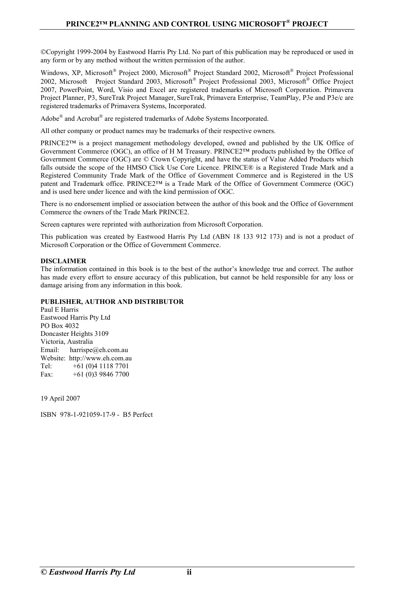Copyright 1999-2004 by Eastwood Harris Pty Ltd. No part of this publication may be reproduced or used in any form or by any method without the written permission of the author.

Windows, XP, Microsoft<sup>®</sup> Project 2000, Microsoft<sup>®</sup> Project Standard 2002, Microsoft<sup>®</sup> Project Professional 2002, Microsoft Project Standard 2003, Microsoft<sup>®</sup> Project Professional 2003, Microsoft<sup>®</sup> Office Project 2007, PowerPoint, Word, Visio and Excel are registered trademarks of Microsoft Corporation. Primavera Project Planner, P3, SureTrak Project Manager, SureTrak, Primavera Enterprise, TeamPlay, P3e and P3e/c are registered trademarks of Primavera Systems, Incorporated.

 $\text{Adobe}^{\circledast}$  and  $\text{Acrobat}^{\circledast}$  are registered trademarks of  $\text{Adobe}$  Systems Incorporated.

All other company or product names may be trademarks of their respective owners.

PRINCE2™ is a project management methodology developed, owned and published by the UK Office of Government Commerce (OGC), an office of H M Treasury. PRINCE2™ products published by the Office of Government Commerce (OGC) are © Crown Copyright, and have the status of Value Added Products which falls outside the scope of the HMSO Click Use Core Licence. PRINCE<sup>®</sup> is a Registered Trade Mark and a Registered Community Trade Mark of the Office of Government Commerce and is Registered in the US patent and Trademark office. PRINCE2™ is a Trade Mark of the Office of Government Commerce (OGC) and is used here under licence and with the kind permission of OGC.

There is no endorsement implied or association between the author of this book and the Office of Government Commerce the owners of the Trade Mark PRINCE2.

Screen captures were reprinted with authorization from Microsoft Corporation.

This publication was created by Eastwood Harris Pty Ltd (ABN 18 133 912 173) and is not a product of Microsoft Corporation or the Office of Government Commerce.

#### **DISCLAIMER**

The information contained in this book is to the best of the author's knowledge true and correct. The author has made every effort to ensure accuracy of this publication, but cannot be held responsible for any loss or damage arising from any information in this book.

#### **PUBLISHER, AUTHOR AND DISTRIBUTOR**

Paul E Harris Eastwood Harris Pty Ltd PO Box 4032 Doncaster Heights 3109 Victoria, Australia Email: harrispe@eh.com.au Website: http://www.eh.com.au Tel: +61 (0)4 1118 7701 Fax:  $+61(0)398467700$ 

19 April 2007

ISBN 978-1-921059-17-9 - B5 Perfect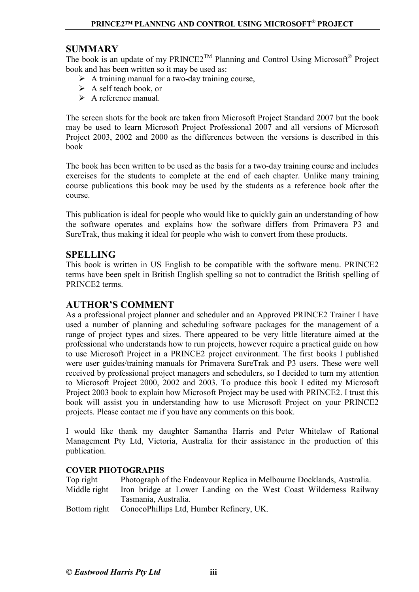# **SUMMARY**

The book is an update of my  $PRINCE2^{TM}$  Planning and Control Using Microsoft® Project book and has been written so it may be used as:

- $\triangleright$  A training manual for a two-day training course,
- $\triangleright$  A self teach book, or
- $\triangleright$  A reference manual

The screen shots for the book are taken from Microsoft Project Standard 2007 but the book may be used to learn Microsoft Project Professional 2007 and all versions of Microsoft Project 2003, 2002 and 2000 as the differences between the versions is described in this book

The book has been written to be used as the basis for a two-day training course and includes exercises for the students to complete at the end of each chapter. Unlike many training course publications this book may be used by the students as a reference book after the course.

This publication is ideal for people who would like to quickly gain an understanding of how the software operates and explains how the software differs from Primavera P3 and SureTrak, thus making it ideal for people who wish to convert from these products.

#### **SPELLING**

This book is written in US English to be compatible with the software menu. PRINCE2 terms have been spelt in British English spelling so not to contradict the British spelling of PRINCE2 terms.

### **AUTHOR'S COMMENT**

As a professional project planner and scheduler and an Approved PRINCE2 Trainer I have used a number of planning and scheduling software packages for the management of a range of project types and sizes. There appeared to be very little literature aimed at the professional who understands how to run projects, however require a practical guide on how to use Microsoft Project in a PRINCE2 project environment. The first books I published were user guides/training manuals for Primavera SureTrak and P3 users. These were well received by professional project managers and schedulers, so I decided to turn my attention to Microsoft Project 2000, 2002 and 2003. To produce this book I edited my Microsoft Project 2003 book to explain how Microsoft Project may be used with PRINCE2. I trust this book will assist you in understanding how to use Microsoft Project on your PRINCE2 projects. Please contact me if you have any comments on this book.

I would like thank my daughter Samantha Harris and Peter Whitelaw of Rational Management Pty Ltd, Victoria, Australia for their assistance in the production of this publication.

#### **COVER PHOTOGRAPHS**

| Top right    | Photograph of the Endeavour Replica in Melbourne Docklands, Australia. |  |  |
|--------------|------------------------------------------------------------------------|--|--|
| Middle right | Iron bridge at Lower Landing on the West Coast Wilderness Railway      |  |  |
|              | Tasmania, Australia.                                                   |  |  |
| Bottom right | ConocoPhillips Ltd, Humber Refinery, UK.                               |  |  |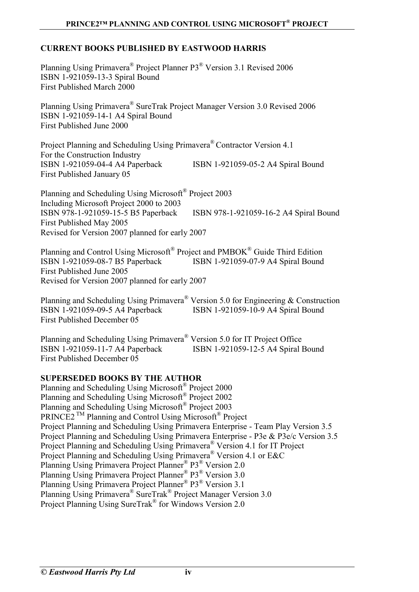#### **CURRENT BOOKS PUBLISHED BY EASTWOOD HARRIS**

Planning Using Primavera® Project Planner P3® Version 3.1 Revised 2006 ISBN 1-921059-13-3 Spiral Bound First Published March 2000

Planning Using Primavera® SureTrak Project Manager Version 3.0 Revised 2006 ISBN 1-921059-14-1 A4 Spiral Bound First Published June 2000

Project Planning and Scheduling Using Primavera® Contractor Version 4.1 For the Construction Industry ISBN 1-921059-04-4 A4 Paperback ISBN 1-921059-05-2 A4 Spiral Bound First Published January 05

Planning and Scheduling Using Microsoft® Project 2003 Including Microsoft Project 2000 to 2003 ISBN 978-1-921059-15-5 B5 Paperback ISBN 978-1-921059-16-2 A4 Spiral Bound First Published May 2005 Revised for Version 2007 planned for early 2007

Planning and Control Using Microsoft® Project and PMBOK® Guide Third Edition ISBN 1-921059-08-7 B5 Paperback ISBN 1-921059-07-9 A4 Spiral Bound First Published June 2005 Revised for Version 2007 planned for early 2007

Planning and Scheduling Using Primavera<sup>®</sup> Version 5.0 for Engineering & Construction ISBN 1-921059-09-5 A4 Paperback ISBN 1-921059-10-9 A4 Spiral Bound First Published December 05

Planning and Scheduling Using Primavera® Version 5.0 for IT Project Office ISBN 1-921059-11-7 A4 Paperback ISBN 1-921059-12-5 A4 Spiral Bound First Published December 05

#### **SUPERSEDED BOOKS BY THE AUTHOR**

Planning and Scheduling Using Microsoft® Project 2000 Planning and Scheduling Using Microsoft® Project 2002 Planning and Scheduling Using Microsoft® Project 2003 PRINCE2<sup>TM</sup> Planning and Control Using Microsoft<sup>®</sup> Project Project Planning and Scheduling Using Primavera Enterprise - Team Play Version 3.5 Project Planning and Scheduling Using Primavera Enterprise - P3e & P3e/c Version 3.5 Project Planning and Scheduling Using Primavera® Version 4.1 for IT Project Project Planning and Scheduling Using Primavera® Version 4.1 or E&C Planning Using Primavera Project Planner® P3® Version 2.0 Planning Using Primavera Project Planner® P3® Version 3.0 Planning Using Primavera Project Planner® P3® Version 3.1 Planning Using Primavera® SureTrak® Project Manager Version 3.0 Project Planning Using SureTrak® for Windows Version 2.0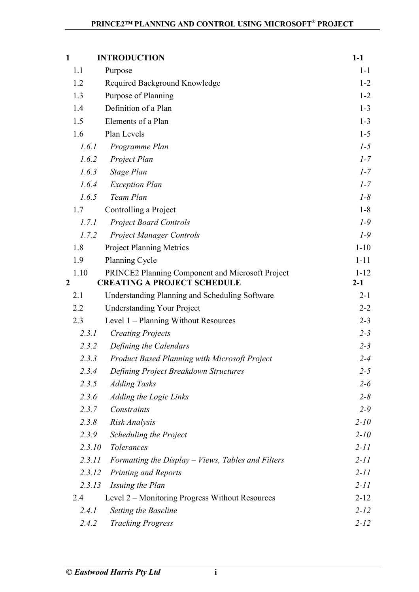| $\mathbf{1}$                                             | <b>INTRODUCTION</b>                                   | $1-1$    |
|----------------------------------------------------------|-------------------------------------------------------|----------|
| 1.1                                                      | Purpose                                               | $1-1$    |
| 1.2                                                      | Required Background Knowledge                         |          |
| 1.3<br>Purpose of Planning                               |                                                       | $1 - 2$  |
| Definition of a Plan<br>1.4                              |                                                       | $1 - 3$  |
| 1.5                                                      | Elements of a Plan                                    | $1 - 3$  |
| 1.6                                                      | Plan Levels                                           | $1 - 5$  |
| 1.6.1                                                    | Programme Plan                                        | $1-5$    |
| 1.6.2                                                    | Project Plan                                          | $1-7$    |
| 1.6.3                                                    | <b>Stage Plan</b>                                     | $1-7$    |
| 1.6.4                                                    | <b>Exception Plan</b>                                 | $1-7$    |
| 1.6.5                                                    | Team Plan                                             | $1-8$    |
| 1.7                                                      | Controlling a Project                                 | $1 - 8$  |
| 1.7.1                                                    | <b>Project Board Controls</b>                         | $1-9$    |
| 1.7.2                                                    | <b>Project Manager Controls</b>                       | $1-9$    |
| 1.8                                                      | <b>Project Planning Metrics</b>                       | $1 - 10$ |
| 1.9                                                      | Planning Cycle<br>$1 - 11$                            |          |
| 1.10<br>PRINCE2 Planning Component and Microsoft Project |                                                       | $1 - 12$ |
| $\boldsymbol{2}$                                         | <b>CREATING A PROJECT SCHEDULE</b>                    | $2 - 1$  |
| 2.1                                                      | <b>Understanding Planning and Scheduling Software</b> | $2 - 1$  |
| 2.2                                                      | <b>Understanding Your Project</b>                     | $2 - 2$  |
| 2.3                                                      | Level 1 – Planning Without Resources                  | $2 - 3$  |
| 2.3.1                                                    | <b>Creating Projects</b>                              | $2 - 3$  |
| 2.3.2                                                    | Defining the Calendars                                | $2 - 3$  |
| 2.3.3                                                    | <b>Product Based Planning with Microsoft Project</b>  | $2 - 4$  |
| 2.3.4                                                    | Defining Project Breakdown Structures                 | $2 - 5$  |
| 2.3.5                                                    | <b>Adding Tasks</b>                                   | $2 - 6$  |
| 2.3.6                                                    | Adding the Logic Links                                | $2 - 8$  |
| 2.3.7                                                    | Constraints                                           | $2 - 9$  |
| 2.3.8                                                    | Risk Analysis                                         | $2 - 10$ |
| 2.3.9                                                    | Scheduling the Project                                | $2 - 10$ |
| 2.3.10                                                   | Tolerances                                            | $2 - 11$ |
| 2.3.11                                                   | Formatting the Display – Views, Tables and Filters    | $2-11$   |
| 2.3.12                                                   | <b>Printing and Reports</b>                           | $2 - 11$ |
| 2.3.13                                                   | Issuing the Plan                                      | $2-11$   |
| 2.4                                                      | Level 2 – Monitoring Progress Without Resources       | $2 - 12$ |
| 2.4.1                                                    | Setting the Baseline                                  | $2 - 12$ |
| 2.4.2                                                    | <b>Tracking Progress</b>                              | $2 - 12$ |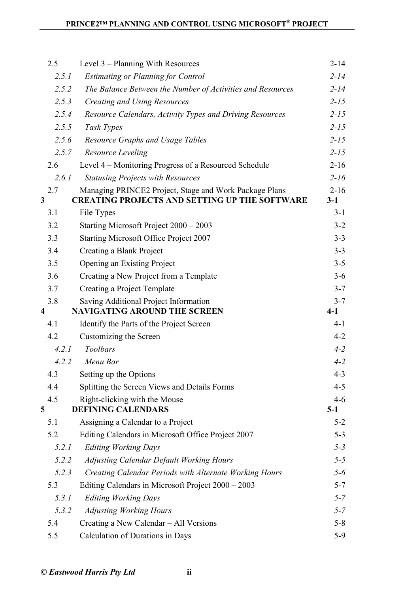|                         | 2.5                                                               | Level 3 – Planning With Resources                                            | $2 - 14$           |  |
|-------------------------|-------------------------------------------------------------------|------------------------------------------------------------------------------|--------------------|--|
|                         | 2.5.1                                                             | <b>Estimating or Planning for Control</b>                                    | $2 - 14$           |  |
|                         | 2.5.2                                                             | The Balance Between the Number of Activities and Resources                   |                    |  |
|                         | 2.5.3<br>Creating and Using Resources                             |                                                                              | $2 - 15$           |  |
|                         | 2.5.4<br>Resource Calendars, Activity Types and Driving Resources |                                                                              | $2 - 15$           |  |
|                         | 2.5.5                                                             | Task Types                                                                   | $2 - 15$           |  |
|                         | 2.5.6                                                             | Resource Graphs and Usage Tables                                             | $2 - 15$           |  |
|                         | 2.5.7                                                             | Resource Leveling                                                            | $2 - 15$           |  |
|                         | 2.6                                                               | Level 4 – Monitoring Progress of a Resourced Schedule                        | $2 - 16$           |  |
|                         | 2.6.1                                                             | <b>Statusing Projects with Resources</b>                                     | $2 - 16$           |  |
|                         | 2.7                                                               | Managing PRINCE2 Project, Stage and Work Package Plans                       | $2 - 16$           |  |
| $\overline{\mathbf{3}}$ |                                                                   | <b>CREATING PROJECTS AND SETTING UP THE SOFTWARE</b>                         | $3-1$              |  |
|                         | 3.1                                                               | File Types                                                                   | $3 - 1$            |  |
|                         | 3.2                                                               | Starting Microsoft Project 2000 – 2003                                       | $3 - 2$            |  |
|                         | 3.3                                                               | <b>Starting Microsoft Office Project 2007</b>                                | $3 - 3$            |  |
|                         | 3.4                                                               | Creating a Blank Project                                                     | $3 - 3$            |  |
|                         | 3.5                                                               | Opening an Existing Project                                                  | $3 - 5$            |  |
|                         | 3.6                                                               | Creating a New Project from a Template                                       | $3 - 6$            |  |
|                         | 3.7                                                               | Creating a Project Template                                                  | $3 - 7$            |  |
| $\overline{\mathbf{4}}$ | 3.8                                                               | Saving Additional Project Information<br><b>NAVIGATING AROUND THE SCREEN</b> | $3 - 7$<br>$4 - 1$ |  |
|                         | 4.1                                                               | Identify the Parts of the Project Screen                                     | $4 - 1$            |  |
|                         | 4.2                                                               | Customizing the Screen                                                       | $4 - 2$            |  |
|                         | 4.2.1                                                             | Toolbars                                                                     | $4 - 2$            |  |
|                         | 4.2.2                                                             | Menu Bar                                                                     | $4 - 2$            |  |
|                         |                                                                   | 4.3 Setting up the Options                                                   | $4 - 3$            |  |
|                         | 4.4                                                               | Splitting the Screen Views and Details Forms                                 | $4 - 5$            |  |
|                         | 4.5                                                               | Right-clicking with the Mouse                                                | $4 - 6$            |  |
| 5                       |                                                                   | <b>DEFINING CALENDARS</b>                                                    | $5-1$              |  |
|                         | 5.1                                                               | Assigning a Calendar to a Project                                            | $5 - 2$            |  |
|                         | 5.2                                                               | Editing Calendars in Microsoft Office Project 2007                           | $5 - 3$            |  |
|                         | 5.2.1                                                             | <b>Editing Working Days</b>                                                  | $5 - 3$            |  |
|                         | 5.2.2                                                             | <b>Adjusting Calendar Default Working Hours</b>                              | $5 - 5$            |  |
|                         | 5.2.3                                                             | Creating Calendar Periods with Alternate Working Hours                       | $5 - 6$            |  |
|                         | 5.3                                                               | Editing Calendars in Microsoft Project 2000 – 2003                           | $5 - 7$            |  |
|                         | 5.3.1                                                             | <b>Editing Working Days</b>                                                  | $5 - 7$            |  |
|                         | 5.3.2                                                             | <b>Adjusting Working Hours</b>                                               | $5 - 7$            |  |
|                         | 5.4                                                               | Creating a New Calendar - All Versions                                       | $5 - 8$            |  |
|                         | 5.5                                                               | Calculation of Durations in Days                                             | $5-9$              |  |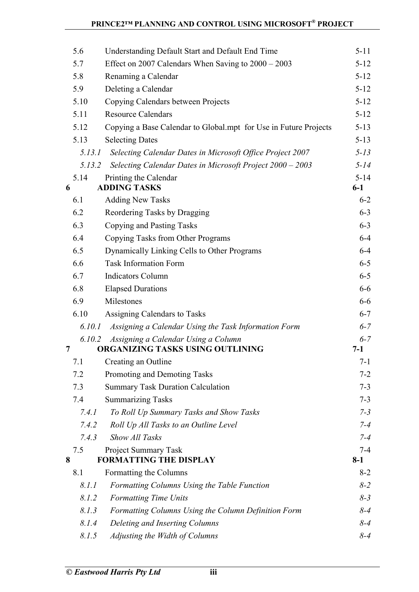| 5.6         | <b>Understanding Default Start and Default End Time</b>                 | $5 - 11$          |
|-------------|-------------------------------------------------------------------------|-------------------|
| 5.7         | Effect on 2007 Calendars When Saving to $2000 - 2003$                   |                   |
| 5.8         | Renaming a Calendar                                                     | $5 - 12$          |
| 5.9         | Deleting a Calendar                                                     |                   |
| 5.10        | Copying Calendars between Projects                                      |                   |
| 5.11        | <b>Resource Calendars</b>                                               |                   |
| 5.12        | Copying a Base Calendar to Global mpt for Use in Future Projects        | $5 - 13$          |
| 5.13        | <b>Selecting Dates</b>                                                  | $5 - 13$          |
| 5.13.1      | Selecting Calendar Dates in Microsoft Office Project 2007               | $5 - 13$          |
| 5.13.2      | Selecting Calendar Dates in Microsoft Project 2000 – 2003               | $5 - 14$          |
| 5.14<br>6   | Printing the Calendar<br><b>ADDING TASKS</b>                            | $5 - 14$<br>$6-1$ |
| 6.1         | <b>Adding New Tasks</b>                                                 | $6 - 2$           |
| 6.2         | Reordering Tasks by Dragging                                            | $6 - 3$           |
| 6.3         | Copying and Pasting Tasks                                               | $6 - 3$           |
| 6.4         | Copying Tasks from Other Programs                                       | $6 - 4$           |
| 6.5         | Dynamically Linking Cells to Other Programs                             | 6-4               |
| 6.6         | <b>Task Information Form</b>                                            | $6-5$             |
| 6.7         | <b>Indicators Column</b>                                                | $6 - 5$           |
| 6.8         | <b>Elapsed Durations</b>                                                | 6-6               |
| 6.9         | Milestones                                                              | 6-6               |
| 6.10        | Assigning Calendars to Tasks                                            | $6 - 7$           |
| 6.10.1      | Assigning a Calendar Using the Task Information Form                    | $6 - 7$           |
| 6.10.2<br>7 | Assigning a Calendar Using a Column<br>ORGANIZING TASKS USING OUTLINING | $6 - 7$<br>$7-1$  |
| 7.1         | Creating an Outline                                                     | $7 - 1$           |
| 7.2         | Promoting and Demoting Tasks                                            | $7 - 2$           |
| 7.3         | <b>Summary Task Duration Calculation</b>                                | $7 - 3$           |
| 7.4         | <b>Summarizing Tasks</b>                                                | $7 - 3$           |
| 7.4.1       | To Roll Up Summary Tasks and Show Tasks                                 | $7 - 3$           |
| 7.4.2       | Roll Up All Tasks to an Outline Level                                   | $7 - 4$           |
| 7.4.3       | Show All Tasks                                                          | $7 - 4$           |
| 7.5         | <b>Project Summary Task</b>                                             | $7 - 4$           |
| 8           | <b>FORMATTING THE DISPLAY</b>                                           | $8-1$             |
| 8.1         | Formatting the Columns                                                  | $8 - 2$           |
| 8.1.1       | Formatting Columns Using the Table Function                             | $8 - 2$           |
| 8.1.2       | <b>Formatting Time Units</b>                                            | $8 - 3$           |
| 8.1.3       | Formatting Columns Using the Column Definition Form                     | 8-4               |
| 8.1.4       | Deleting and Inserting Columns                                          | 8-4               |
| 8.1.5       | Adjusting the Width of Columns                                          | $8 - 4$           |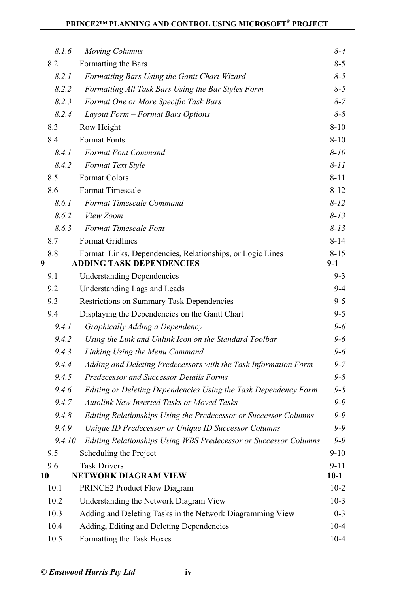|     | 8.1.6                                          | <b>Moving Columns</b>                                            | $8 - 4$  |
|-----|------------------------------------------------|------------------------------------------------------------------|----------|
|     | 8.2<br>Formatting the Bars                     |                                                                  | $8 - 5$  |
|     | 8.2.1                                          | Formatting Bars Using the Gantt Chart Wizard                     | $8 - 5$  |
|     | 8.2.2                                          | Formatting All Task Bars Using the Bar Styles Form               | $8 - 5$  |
|     | 8.2.3<br>Format One or More Specific Task Bars |                                                                  | $8 - 7$  |
|     | 8.2.4<br>Layout Form – Format Bars Options     |                                                                  | $8-8$    |
|     | 8.3<br>Row Height                              |                                                                  | $8 - 10$ |
|     | <b>Format Fonts</b><br>8.4                     |                                                                  | $8 - 10$ |
|     | 8.4.1                                          | <b>Format Font Command</b>                                       | $8 - 10$ |
|     | 8.4.2                                          | <b>Format Text Style</b>                                         | $8 - 11$ |
|     | 8.5                                            | Format Colors                                                    | $8 - 11$ |
|     | 8.6                                            | Format Timescale                                                 | $8 - 12$ |
|     | 8.6.1                                          | <b>Format Timescale Command</b>                                  | $8 - 12$ |
|     | 8.6.2                                          | View Zoom                                                        | $8 - 13$ |
|     | 8.6.3                                          | <b>Format Timescale Font</b>                                     | $8 - 13$ |
|     | 8.7                                            | <b>Format Gridlines</b>                                          | $8 - 14$ |
|     | 8.8                                            | Format Links, Dependencies, Relationships, or Logic Lines        | $8 - 15$ |
| 9   |                                                | <b>ADDING TASK DEPENDENCIES</b>                                  | $9-1$    |
|     | 9.1                                            | <b>Understanding Dependencies</b>                                | $9 - 3$  |
|     | 9.2                                            | Understanding Lags and Leads                                     | $9 - 4$  |
| 9.3 |                                                | <b>Restrictions on Summary Task Dependencies</b>                 | $9 - 5$  |
|     | 9.4                                            | Displaying the Dependencies on the Gantt Chart                   | $9 - 5$  |
|     | 9.4.1                                          | Graphically Adding a Dependency                                  | $9 - 6$  |
|     | 9.4.2                                          | Using the Link and Unlink Icon on the Standard Toolbar           | $9 - 6$  |
|     | 9.4.3                                          | Linking Using the Menu Command                                   | $9 - 6$  |
|     | 9.4.4                                          | Adding and Deleting Predecessors with the Task Information Form  | $9 - 7$  |
|     | 9.4.5                                          | <b>Predecessor and Successor Details Forms</b>                   | $9 - 8$  |
|     | 9.4.6                                          | Editing or Deleting Dependencies Using the Task Dependency Form  | $9 - 8$  |
|     | 9.4.7                                          | <b>Autolink New Inserted Tasks or Moved Tasks</b>                | $9 - 9$  |
|     | 9.4.8                                          | Editing Relationships Using the Predecessor or Successor Columns | $9 - 9$  |
|     | 9.4.9                                          | Unique ID Predecessor or Unique ID Successor Columns             | $9 - 9$  |
|     | 9.4.10                                         | Editing Relationships Using WBS Predecessor or Successor Columns | $9 - 9$  |
|     | 9.5                                            | Scheduling the Project                                           | $9 - 10$ |
|     | 9.6                                            | <b>Task Drivers</b>                                              | $9 - 11$ |
|     | 10                                             | <b>NETWORK DIAGRAM VIEW</b>                                      | $10-1$   |
|     | 10.1                                           | PRINCE2 Product Flow Diagram                                     | $10-2$   |
|     | 10.2                                           | Understanding the Network Diagram View                           | $10-3$   |
|     | 10.3                                           | Adding and Deleting Tasks in the Network Diagramming View        | $10-3$   |
|     | 10.4                                           | Adding, Editing and Deleting Dependencies                        | $10 - 4$ |
|     | 10.5                                           | Formatting the Task Boxes                                        | $10 - 4$ |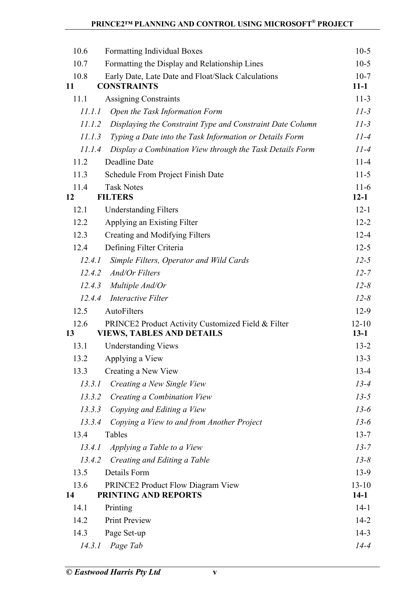| 10.6   | Formatting Individual Boxes                                     | $10-5$    |
|--------|-----------------------------------------------------------------|-----------|
| 10.7   | Formatting the Display and Relationship Lines                   |           |
| 10.8   | $10-7$<br>Early Date, Late Date and Float/Slack Calculations    |           |
| 11     | <b>CONSTRAINTS</b>                                              | $11 - 1$  |
| 11.1   | <b>Assigning Constraints</b>                                    | $11 - 3$  |
| 11.1.1 | Open the Task Information Form                                  | $11-3$    |
| 11.1.2 | Displaying the Constraint Type and Constraint Date Column       | $11-3$    |
|        | 11.1.3 Typing a Date into the Task Information or Details Form  | $11-4$    |
|        | 11.1.4 Display a Combination View through the Task Details Form | $11-4$    |
| 11.2   | Deadline Date                                                   | $11 - 4$  |
| 11.3   | Schedule From Project Finish Date                               | $11 - 5$  |
| 11.4   | <b>Task Notes</b>                                               | $11-6$    |
| 12     | <b>FILTERS</b>                                                  | $12 - 1$  |
| 12.1   | <b>Understanding Filters</b>                                    | $12 - 1$  |
| 12.2   | Applying an Existing Filter                                     | $12 - 2$  |
| 12.3   | Creating and Modifying Filters                                  | $12 - 4$  |
| 12.4   | Defining Filter Criteria                                        | $12 - 5$  |
| 12.4.1 | Simple Filters, Operator and Wild Cards                         | $12 - 5$  |
|        | 12.4.2 And/Or Filters                                           | $12 - 7$  |
|        | 12.4.3 Multiple And/Or                                          | $12 - 8$  |
|        | 12.4.4 Interactive Filter                                       | $12 - 8$  |
| 12.5   | AutoFilters                                                     | $12-9$    |
| 12.6   | PRINCE2 Product Activity Customized Field & Filter              | $12 - 10$ |
| 13     | <b>VIEWS, TABLES AND DETAILS</b>                                | $13-1$    |
| 13.1   | <b>Understanding Views</b>                                      | $13 - 2$  |
| 13.2   | Applying a View                                                 | $13 - 3$  |
| 13.3   | Creating a New View                                             | $13-4$    |
| 13.3.1 | Creating a New Single View                                      | $13 - 4$  |
| 13.3.2 | Creating a Combination View                                     | $13 - 5$  |
| 13.3.3 | Copying and Editing a View                                      | $13-6$    |
| 13.3.4 | Copying a View to and from Another Project                      | $13-6$    |
| 13.4   | Tables                                                          | $13 - 7$  |
| 13.4.1 | Applying a Table to a View                                      | $13 - 7$  |
| 13.4.2 | Creating and Editing a Table                                    | $13 - 8$  |
| 13.5   | Details Form                                                    | $13-9$    |
| 13.6   | PRINCE2 Product Flow Diagram View                               | $13 - 10$ |
| 14     | PRINTING AND REPORTS                                            | $14-1$    |
| 14.1   | Printing                                                        | $14 - 1$  |
| 14.2   | <b>Print Preview</b>                                            | $14 - 2$  |
| 14.3   | Page Set-up                                                     | $14 - 3$  |
| 14.3.1 | Page Tab                                                        | $14 - 4$  |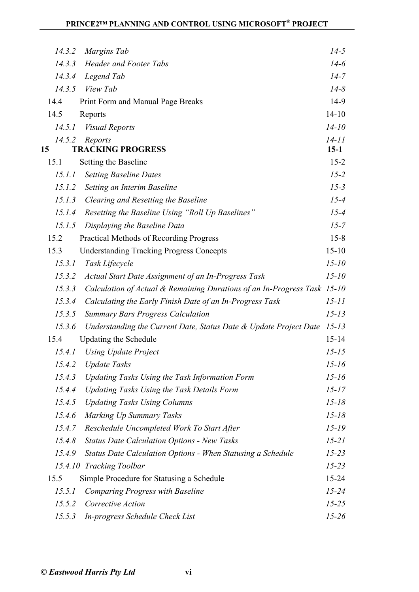| 14.3.2 | Margins Tab                                                              | $14 - 5$  |
|--------|--------------------------------------------------------------------------|-----------|
|        | 14.3.3 Header and Footer Tabs                                            | $14-6$    |
|        | 14.3.4 Legend Tab                                                        | $14 - 7$  |
|        | $14.3.5$ View Tab                                                        | $14 - 8$  |
| 14.4   | Print Form and Manual Page Breaks                                        | $14-9$    |
| 14.5   | Reports                                                                  | $14 - 10$ |
| 14.5.1 | <i>Visual Reports</i>                                                    | $14 - 10$ |
| 14.5.2 | Reports                                                                  | $14 - 11$ |
| 15     | <b>TRACKING PROGRESS</b>                                                 | $15-1$    |
| 15.1   | Setting the Baseline                                                     | $15 - 2$  |
| 15.1.1 | <b>Setting Baseline Dates</b>                                            | $15 - 2$  |
| 15.1.2 | Setting an Interim Baseline                                              | $15 - 3$  |
| 15.1.3 | Clearing and Resetting the Baseline                                      | $15 - 4$  |
| 15.1.4 | Resetting the Baseline Using "Roll Up Baselines"                         | $15 - 4$  |
| 15.1.5 | Displaying the Baseline Data                                             | $15 - 7$  |
| 15.2   | <b>Practical Methods of Recording Progress</b>                           | $15 - 8$  |
| 15.3   | <b>Understanding Tracking Progress Concepts</b>                          | $15 - 10$ |
| 15.3.1 | Task Lifecycle                                                           | $15 - 10$ |
| 15.3.2 | Actual Start Date Assignment of an In-Progress Task                      | $15 - 10$ |
| 15.3.3 | Calculation of Actual & Remaining Durations of an In-Progress Task 15-10 |           |
| 15.3.4 | Calculating the Early Finish Date of an In-Progress Task                 | $15 - 11$ |
| 15.3.5 | <b>Summary Bars Progress Calculation</b>                                 | $15 - 13$ |
| 15.3.6 | Understanding the Current Date, Status Date & Update Project Date        | $15 - 13$ |
| 15.4   | <b>Updating the Schedule</b>                                             | $15 - 14$ |
| 15.4.1 | <b>Using Update Project</b>                                              | $15 - 15$ |
| 15.4.2 | <b>Update Tasks</b>                                                      | $15 - 16$ |
| 15.4.3 | Updating Tasks Using the Task Information Form                           | $15 - 16$ |
| 15.4.4 | Updating Tasks Using the Task Details Form                               | $15 - 17$ |
| 15.4.5 | <b>Updating Tasks Using Columns</b>                                      | $15 - 18$ |
| 15.4.6 | Marking Up Summary Tasks                                                 | $15 - 18$ |
| 15.4.7 | Reschedule Uncompleted Work To Start After                               | $15 - 19$ |
| 15.4.8 | <b>Status Date Calculation Options - New Tasks</b>                       | $15 - 21$ |
| 15.4.9 | Status Date Calculation Options - When Statusing a Schedule              | $15 - 23$ |
|        | 15.4.10 Tracking Toolbar                                                 | $15 - 23$ |
| 15.5   | Simple Procedure for Statusing a Schedule                                | $15 - 24$ |
| 15.5.1 | <b>Comparing Progress with Baseline</b>                                  | $15 - 24$ |
| 15.5.2 | Corrective Action                                                        | $15 - 25$ |
| 15.5.3 | In-progress Schedule Check List                                          | $15 - 26$ |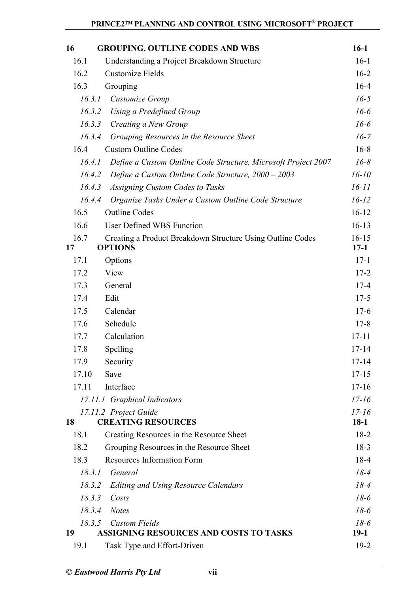| 16               | <b>GROUPING, OUTLINE CODES AND WBS</b>                         | $16-1$           |
|------------------|----------------------------------------------------------------|------------------|
| 16.1             | Understanding a Project Breakdown Structure                    | $16-1$           |
| 16.2             | Customize Fields                                               | $16-2$           |
| 16.3             | Grouping                                                       | $16-4$           |
| 16.3.1           | Customize Group                                                | $16 - 5$         |
| 16.3.2           | Using a Predefined Group                                       | $16-6$           |
| 16.3.3           | Creating a New Group                                           | $16-6$           |
| 16.3.4           | Grouping Resources in the Resource Sheet                       | $16 - 7$         |
| 16.4             | <b>Custom Outline Codes</b>                                    | $16 - 8$         |
| 16.4.1           | Define a Custom Outline Code Structure, Microsoft Project 2007 | $16 - 8$         |
| 16.4.2           | Define a Custom Outline Code Structure, $2000 - 2003$          | $16 - 10$        |
| 16.4.3           | Assigning Custom Codes to Tasks                                | $16 - 11$        |
| 16.4.4           | Organize Tasks Under a Custom Outline Code Structure           | $16 - 12$        |
| 16.5             | <b>Outline Codes</b>                                           | $16 - 12$        |
| 16.6             | User Defined WBS Function                                      | $16-13$          |
| 16.7             | Creating a Product Breakdown Structure Using Outline Codes     | $16 - 15$        |
| 17               | <b>OPTIONS</b>                                                 | $17-1$           |
| 17.1             | Options                                                        | $17-1$           |
| 17.2             | View                                                           | $17 - 2$         |
| 17.3             | General                                                        | $17 - 4$         |
| Edit<br>17.4     |                                                                | $17 - 5$         |
| Calendar<br>17.5 |                                                                | $17-6$           |
| 17.6             | Schedule                                                       | $17 - 8$         |
| 17.7             | Calculation                                                    | $17 - 11$        |
| 17.8             | Spelling                                                       | $17 - 14$        |
| 17.9             | Security                                                       | $17 - 14$        |
| 17.10            | Save                                                           | $17 - 15$        |
| 17.11            | Interface                                                      | $17 - 16$        |
|                  | 17.11.1 Graphical Indicators                                   | $17 - 16$        |
|                  | 17.11.2 Project Guide<br><b>CREATING RESOURCES</b>             | $17 - 16$        |
| 18<br>18.1       | Creating Resources in the Resource Sheet                       | $18-1$<br>$18-2$ |
| 18.2             | Grouping Resources in the Resource Sheet                       | $18-3$           |
| 18.3             | <b>Resources Information Form</b>                              | $18-4$           |
| 18.3.1           | General                                                        | $18-4$           |
|                  |                                                                | $18-4$           |
| 18.3.2<br>18.3.3 | <b>Editing and Using Resource Calendars</b><br>Costs           | $18-6$           |
| 18.3.4           | <b>Notes</b>                                                   | $18-6$           |
| 18.3.5           | Custom Fields                                                  | $18-6$           |
| 19               | <b>ASSIGNING RESOURCES AND COSTS TO TASKS</b>                  | $19-1$           |
| 19.1             | Task Type and Effort-Driven                                    | $19-2$           |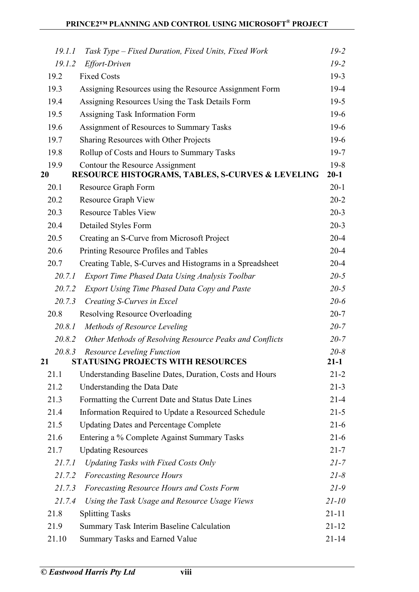| 19.1.1       | Task Type – Fixed Duration, Fixed Units, Fixed Work                                 | $19 - 2$         |  |
|--------------|-------------------------------------------------------------------------------------|------------------|--|
| 19.1.2       | Effort-Driven                                                                       | $19-2$           |  |
| 19.2         | <b>Fixed Costs</b>                                                                  |                  |  |
| 19.3         | Assigning Resources using the Resource Assignment Form                              |                  |  |
| 19.4         | Assigning Resources Using the Task Details Form                                     |                  |  |
| 19.5         | Assigning Task Information Form                                                     | $19-6$           |  |
| 19.6         | Assignment of Resources to Summary Tasks                                            |                  |  |
| 19.7         | Sharing Resources with Other Projects                                               | $19-6$           |  |
| 19.8         | Rollup of Costs and Hours to Summary Tasks                                          | $19-7$           |  |
| 19.9<br>20   | Contour the Resource Assignment<br>RESOURCE HISTOGRAMS, TABLES, S-CURVES & LEVELING | $19-8$<br>$20-1$ |  |
| 20.1         | Resource Graph Form                                                                 | $20-1$           |  |
| 20.2         | <b>Resource Graph View</b>                                                          | $20 - 2$         |  |
| 20.3         | <b>Resource Tables View</b>                                                         | $20-3$           |  |
| 20.4         | Detailed Styles Form                                                                | $20-3$           |  |
| 20.5         | Creating an S-Curve from Microsoft Project                                          | $20 - 4$         |  |
| 20.6         | Printing Resource Profiles and Tables                                               | $20 - 4$         |  |
| 20.7         | Creating Table, S-Curves and Histograms in a Spreadsheet                            | $20 - 4$         |  |
| 20.7.1       | <b>Export Time Phased Data Using Analysis Toolbar</b>                               | $20 - 5$         |  |
| 20.7.2       | <b>Export Using Time Phased Data Copy and Paste</b>                                 | $20 - 5$         |  |
| 20.7.3       | Creating S-Curves in Excel                                                          | $20 - 6$         |  |
| 20.8         | <b>Resolving Resource Overloading</b>                                               | $20 - 7$         |  |
| 20.8.1       | Methods of Resource Leveling                                                        | $20 - 7$         |  |
| 20.8.2       | Other Methods of Resolving Resource Peaks and Conflicts                             | $20 - 7$         |  |
| 20.8.3<br>21 | <b>Resource Leveling Function</b><br>STATUSING PROJECTS WITH RESOURCES              | $20 - 8$<br>21-1 |  |
| 21.1         | Understanding Baseline Dates, Duration, Costs and Hours                             | $21 - 2$         |  |
| 21.2         | Understanding the Data Date                                                         | $21 - 3$         |  |
| 21.3         | Formatting the Current Date and Status Date Lines                                   | $21 - 4$         |  |
| 21.4         | Information Required to Update a Resourced Schedule                                 | $21 - 5$         |  |
| 21.5         | <b>Updating Dates and Percentage Complete</b>                                       | $21-6$           |  |
| 21.6         | Entering a % Complete Against Summary Tasks                                         | $21-6$           |  |
| 21.7         | <b>Updating Resources</b><br>$21 - 7$                                               |                  |  |
| 21.7.1       | <b>Updating Tasks with Fixed Costs Only</b>                                         | $21 - 7$         |  |
| 21.7.2       | <b>Forecasting Resource Hours</b>                                                   | $21 - 8$         |  |
| 21.7.3       | <b>Forecasting Resource Hours and Costs Form</b>                                    | $21 - 9$         |  |
| 21.7.4       | Using the Task Usage and Resource Usage Views                                       | $21 - 10$        |  |
| 21.8         | <b>Splitting Tasks</b>                                                              | $21 - 11$        |  |
| 21.9         | Summary Task Interim Baseline Calculation                                           | $21 - 12$        |  |
| 21.10        | <b>Summary Tasks and Earned Value</b><br>$21 - 14$                                  |                  |  |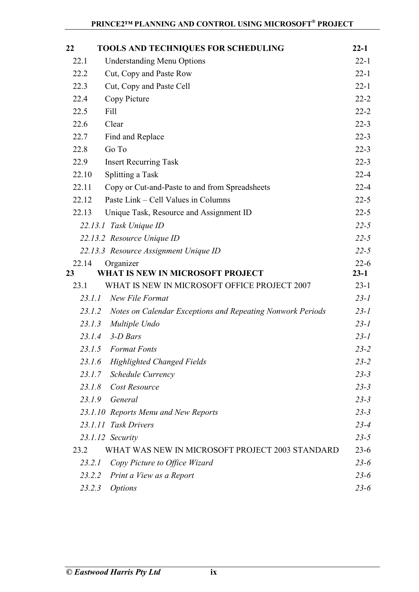| 22                                    | <b>TOOLS AND TECHNIQUES FOR SCHEDULING</b>                        | $22 - 1$ |
|---------------------------------------|-------------------------------------------------------------------|----------|
| 22.1                                  | <b>Understanding Menu Options</b>                                 | $22 - 1$ |
| 22.2                                  | Cut, Copy and Paste Row                                           | $22 - 1$ |
| 22.3                                  | Cut, Copy and Paste Cell                                          | $22 - 1$ |
| 22.4                                  | Copy Picture                                                      | $22 - 2$ |
| 22.5                                  | Fill                                                              | $22 - 2$ |
| 22.6                                  | Clear                                                             | $22 - 3$ |
| 22.7                                  | Find and Replace                                                  | $22 - 3$ |
| 22.8                                  | Go To                                                             | $22 - 3$ |
| 22.9                                  | <b>Insert Recurring Task</b>                                      | $22 - 3$ |
| 22.10                                 | Splitting a Task                                                  | $22 - 4$ |
| 22.11                                 | Copy or Cut-and-Paste to and from Spreadsheets                    | $22 - 4$ |
| 22.12                                 | Paste Link – Cell Values in Columns                               | $22 - 5$ |
| 22.13                                 | Unique Task, Resource and Assignment ID                           | $22 - 5$ |
|                                       | 22.13.1 Task Unique ID                                            | $22 - 5$ |
|                                       | 22.13.2 Resource Unique ID                                        | $22 - 5$ |
| 22.13.3 Resource Assignment Unique ID |                                                                   | $22 - 5$ |
| 22.14                                 | Organizer                                                         | $22-6$   |
| 23                                    | <b>WHAT IS NEW IN MICROSOFT PROJECT</b>                           | $23-1$   |
| 23.1                                  | WHAT IS NEW IN MICROSOFT OFFICE PROJECT 2007                      | $23-1$   |
|                                       | 23.1.1 New File Format                                            | $23 - 1$ |
|                                       | 23.1.2 Notes on Calendar Exceptions and Repeating Nonwork Periods | $23 - 1$ |
| 23.1.3                                | Multiple Undo                                                     | $23 - 1$ |
|                                       | 23.1.4 3-D Bars                                                   | $23 - 1$ |
| 23.1.5                                | <b>Format Fonts</b>                                               | $23 - 2$ |
| 23.1.6                                | <b>Highlighted Changed Fields</b>                                 | $23 - 2$ |
| 23.1.7                                | <b>Schedule Currency</b>                                          | $23 - 3$ |
| 23.1.8                                | Cost Resource                                                     | $23 - 3$ |
| 23.1.9                                | General                                                           | $23 - 3$ |
|                                       | 23.1.10 Reports Menu and New Reports                              | $23 - 3$ |
|                                       | 23.1.11 Task Drivers                                              | $23 - 4$ |
|                                       | 23.1.12 Security                                                  | $23 - 5$ |
| 23.2                                  | WHAT WAS NEW IN MICROSOFT PROJECT 2003 STANDARD                   | $23-6$   |
| 23.2.1                                | Copy Picture to Office Wizard                                     | $23 - 6$ |
| 23.2.2                                | Print a View as a Report                                          | $23 - 6$ |
| 23.2.3                                | <i>Options</i>                                                    | $23 - 6$ |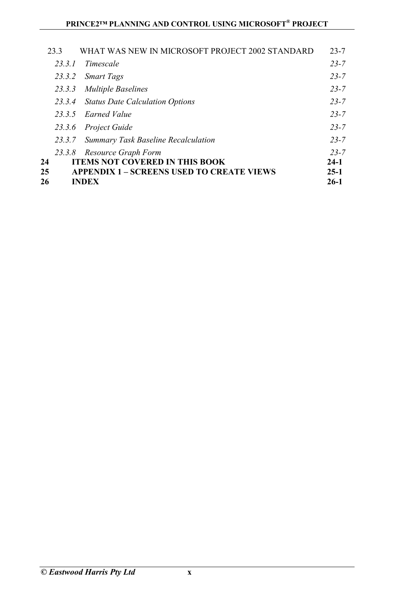| 26 |        | <b>INDEX</b>                                     | $26-1$   |
|----|--------|--------------------------------------------------|----------|
| 25 |        | <b>APPENDIX 1 – SCREENS USED TO CREATE VIEWS</b> | $25-1$   |
| 24 |        | <b>ITEMS NOT COVERED IN THIS BOOK</b>            | $24-1$   |
|    | 23.3.8 | Resource Graph Form                              | $23 - 7$ |
|    | 23.3.7 | <b>Summary Task Baseline Recalculation</b>       | $23 - 7$ |
|    | 23.3.6 | Project Guide                                    | $23 - 7$ |
|    | 23.3.5 | Earned Value                                     | $23 - 7$ |
|    | 23.3.4 | <b>Status Date Calculation Options</b>           | $23 - 7$ |
|    | 23.3.3 | <b>Multiple Baselines</b>                        | $23 - 7$ |
|    | 23.3.2 | <b>Smart Tags</b>                                | $23 - 7$ |
|    | 23.3.1 | Timescale                                        | $23 - 7$ |
|    | 23.3   | WHAT WAS NEW IN MICROSOFT PROJECT 2002 STANDARD  | $23 - 7$ |
|    |        |                                                  |          |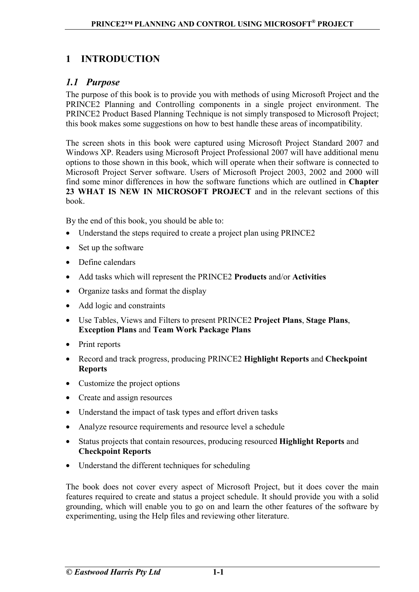# **1 INTRODUCTION**

# *1.1 Purpose*

The purpose of this book is to provide you with methods of using Microsoft Project and the PRINCE2 Planning and Controlling components in a single project environment. The PRINCE2 Product Based Planning Technique is not simply transposed to Microsoft Project; this book makes some suggestions on how to best handle these areas of incompatibility.

The screen shots in this book were captured using Microsoft Project Standard 2007 and Windows XP. Readers using Microsoft Project Professional 2007 will have additional menu options to those shown in this book, which will operate when their software is connected to Microsoft Project Server software. Users of Microsoft Project 2003, 2002 and 2000 will find some minor differences in how the software functions which are outlined in **Chapter 23 WHAT IS NEW IN MICROSOFT PROJECT** and in the relevant sections of this book.

By the end of this book, you should be able to:

- Understand the steps required to create a project plan using PRINCE2
- Set up the software
- Define calendars
- Add tasks which will represent the PRINCE2 **Products** and/or **Activities**
- Organize tasks and format the display
- Add logic and constraints
- Use Tables, Views and Filters to present PRINCE2 **Project Plans**, **Stage Plans**, **Exception Plans** and **Team Work Package Plans**
- Print reports
- Record and track progress, producing PRINCE2 **Highlight Reports** and **Checkpoint Reports**
- Customize the project options
- Create and assign resources
- Understand the impact of task types and effort driven tasks
- Analyze resource requirements and resource level a schedule
- Status projects that contain resources, producing resourced **Highlight Reports** and **Checkpoint Reports**
- Understand the different techniques for scheduling

The book does not cover every aspect of Microsoft Project, but it does cover the main features required to create and status a project schedule. It should provide you with a solid grounding, which will enable you to go on and learn the other features of the software by experimenting, using the Help files and reviewing other literature.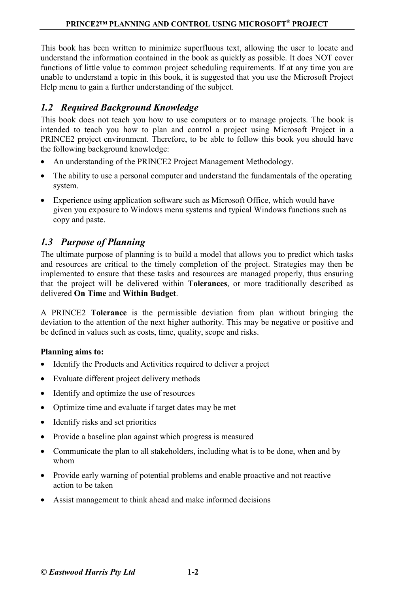This book has been written to minimize superfluous text, allowing the user to locate and understand the information contained in the book as quickly as possible. It does NOT cover functions of little value to common project scheduling requirements. If at any time you are unable to understand a topic in this book, it is suggested that you use the Microsoft Project Help menu to gain a further understanding of the subject.

# *1.2 Required Background Knowledge*

This book does not teach you how to use computers or to manage projects. The book is intended to teach you how to plan and control a project using Microsoft Project in a PRINCE2 project environment. Therefore, to be able to follow this book you should have the following background knowledge:

- An understanding of the PRINCE2 Project Management Methodology.
- The ability to use a personal computer and understand the fundamentals of the operating system.
- Experience using application software such as Microsoft Office, which would have given you exposure to Windows menu systems and typical Windows functions such as copy and paste.

# *1.3 Purpose of Planning*

The ultimate purpose of planning is to build a model that allows you to predict which tasks and resources are critical to the timely completion of the project. Strategies may then be implemented to ensure that these tasks and resources are managed properly, thus ensuring that the project will be delivered within **Tolerances**, or more traditionally described as delivered **On Time** and **Within Budget**.

A PRINCE2 **Tolerance** is the permissible deviation from plan without bringing the deviation to the attention of the next higher authority. This may be negative or positive and be defined in values such as costs, time, quality, scope and risks.

#### **Planning aims to:**

- Identify the Products and Activities required to deliver a project
- Evaluate different project delivery methods
- Identify and optimize the use of resources
- Optimize time and evaluate if target dates may be met
- Identify risks and set priorities
- Provide a baseline plan against which progress is measured
- Communicate the plan to all stakeholders, including what is to be done, when and by whom
- Provide early warning of potential problems and enable proactive and not reactive action to be taken
- Assist management to think ahead and make informed decisions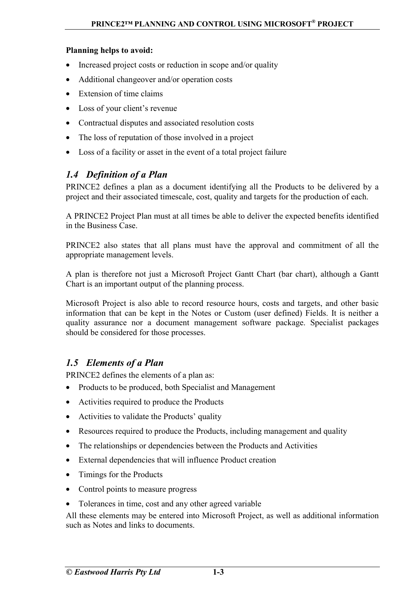#### **Planning helps to avoid:**

- Increased project costs or reduction in scope and/or quality
- Additional changeover and/or operation costs
- Extension of time claims
- Loss of your client's revenue
- Contractual disputes and associated resolution costs
- The loss of reputation of those involved in a project
- Loss of a facility or asset in the event of a total project failure

# *1.4 Definition of a Plan*

PRINCE2 defines a plan as a document identifying all the Products to be delivered by a project and their associated timescale, cost, quality and targets for the production of each.

A PRINCE2 Project Plan must at all times be able to deliver the expected benefits identified in the Business Case.

PRINCE2 also states that all plans must have the approval and commitment of all the appropriate management levels.

A plan is therefore not just a Microsoft Project Gantt Chart (bar chart), although a Gantt Chart is an important output of the planning process.

Microsoft Project is also able to record resource hours, costs and targets, and other basic information that can be kept in the Notes or Custom (user defined) Fields. It is neither a quality assurance nor a document management software package. Specialist packages should be considered for those processes.

# *1.5 Elements of a Plan*

PRINCE2 defines the elements of a plan as:

- Products to be produced, both Specialist and Management
- Activities required to produce the Products
- Activities to validate the Products' quality
- Resources required to produce the Products, including management and quality
- The relationships or dependencies between the Products and Activities
- External dependencies that will influence Product creation
- Timings for the Products
- Control points to measure progress
- Tolerances in time, cost and any other agreed variable

All these elements may be entered into Microsoft Project, as well as additional information such as Notes and links to documents.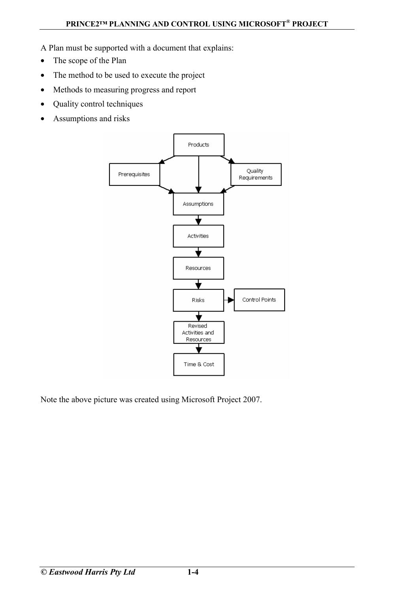A Plan must be supported with a document that explains:

- The scope of the Plan
- The method to be used to execute the project
- Methods to measuring progress and report
- Quality control techniques
- Assumptions and risks



Note the above picture was created using Microsoft Project 2007.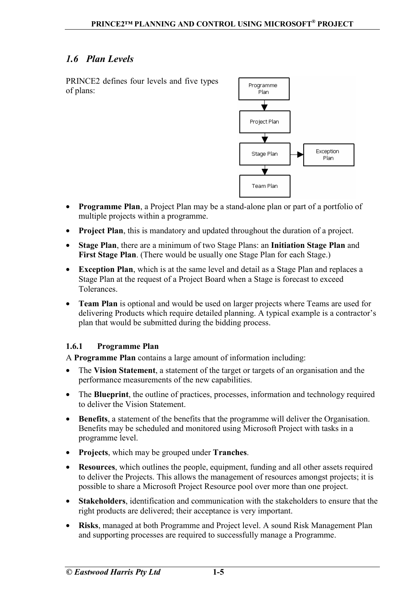# *1.6 Plan Levels*

PRINCE2 defines four levels and five types of plans:



- **Programme Plan**, a Project Plan may be a stand-alone plan or part of a portfolio of multiple projects within a programme.
- **Project Plan**, this is mandatory and updated throughout the duration of a project.
- **Stage Plan**, there are a minimum of two Stage Plans: an **Initiation Stage Plan** and **First Stage Plan**. (There would be usually one Stage Plan for each Stage.)
- **Exception Plan**, which is at the same level and detail as a Stage Plan and replaces a Stage Plan at the request of a Project Board when a Stage is forecast to exceed Tolerances.
- **Team Plan** is optional and would be used on larger projects where Teams are used for delivering Products which require detailed planning. A typical example is a contractor's plan that would be submitted during the bidding process.

#### **1.6.1 Programme Plan**

A **Programme Plan** contains a large amount of information including:

- The **Vision Statement**, a statement of the target or targets of an organisation and the performance measurements of the new capabilities.
- The **Blueprint**, the outline of practices, processes, information and technology required to deliver the Vision Statement.
- **Benefits**, a statement of the benefits that the programme will deliver the Organisation. Benefits may be scheduled and monitored using Microsoft Project with tasks in a programme level.
- **Projects**, which may be grouped under **Tranches**.
- **Resources**, which outlines the people, equipment, funding and all other assets required to deliver the Projects. This allows the management of resources amongst projects; it is possible to share a Microsoft Project Resource pool over more than one project.
- **Stakeholders**, identification and communication with the stakeholders to ensure that the right products are delivered; their acceptance is very important.
- **Risks**, managed at both Programme and Project level. A sound Risk Management Plan and supporting processes are required to successfully manage a Programme.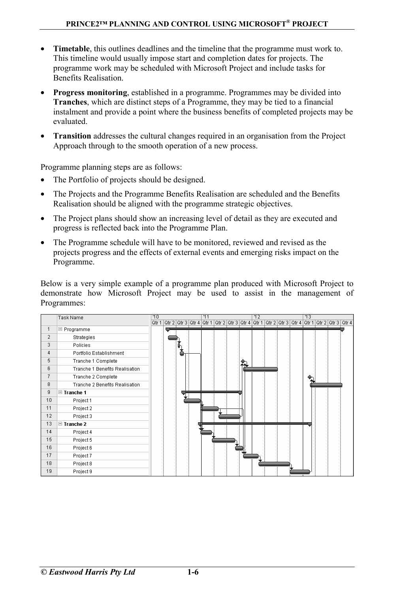- **Timetable**, this outlines deadlines and the timeline that the programme must work to. This timeline would usually impose start and completion dates for projects. The programme work may be scheduled with Microsoft Project and include tasks for Benefits Realisation.
- **Progress monitoring**, established in a programme. Programmes may be divided into **Tranches**, which are distinct steps of a Programme, they may be tied to a financial instalment and provide a point where the business benefits of completed projects may be evaluated.
- **Transition** addresses the cultural changes required in an organisation from the Project Approach through to the smooth operation of a new process.

Programme planning steps are as follows:

- The Portfolio of projects should be designed.
- The Projects and the Programme Benefits Realisation are scheduled and the Benefits Realisation should be aligned with the programme strategic objectives.
- The Project plans should show an increasing level of detail as they are executed and progress is reflected back into the Programme Plan.
- The Programme schedule will have to be monitored, reviewed and revised as the projects progress and the effects of external events and emerging risks impact on the Programme.

Below is a very simple example of a programme plan produced with Microsoft Project to demonstrate how Microsoft Project may be used to assist in the management of Programmes:

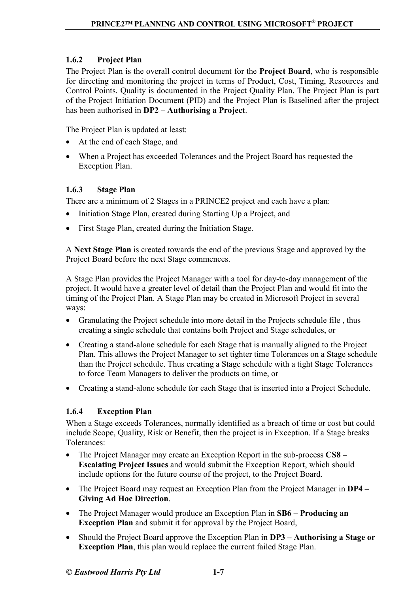#### **1.6.2 Project Plan**

The Project Plan is the overall control document for the **Project Board**, who is responsible for directing and monitoring the project in terms of Product, Cost, Timing, Resources and Control Points. Quality is documented in the Project Quality Plan. The Project Plan is part of the Project Initiation Document (PID) and the Project Plan is Baselined after the project has been authorised in **DP2 – Authorising a Project**.

The Project Plan is updated at least:

- At the end of each Stage, and
- When a Project has exceeded Tolerances and the Project Board has requested the Exception Plan.

#### **1.6.3 Stage Plan**

There are a minimum of 2 Stages in a PRINCE2 project and each have a plan:

- Initiation Stage Plan, created during Starting Up a Project, and
- First Stage Plan, created during the Initiation Stage.

A **Next Stage Plan** is created towards the end of the previous Stage and approved by the Project Board before the next Stage commences.

A Stage Plan provides the Project Manager with a tool for day-to-day management of the project. It would have a greater level of detail than the Project Plan and would fit into the timing of the Project Plan. A Stage Plan may be created in Microsoft Project in several ways:

- Granulating the Project schedule into more detail in the Projects schedule file, thus creating a single schedule that contains both Project and Stage schedules, or
- Creating a stand-alone schedule for each Stage that is manually aligned to the Project Plan. This allows the Project Manager to set tighter time Tolerances on a Stage schedule than the Project schedule. Thus creating a Stage schedule with a tight Stage Tolerances to force Team Managers to deliver the products on time, or
- Creating a stand-alone schedule for each Stage that is inserted into a Project Schedule.

#### **1.6.4 Exception Plan**

When a Stage exceeds Tolerances, normally identified as a breach of time or cost but could include Scope, Quality, Risk or Benefit, then the project is in Exception. If a Stage breaks Tolerances:

- The Project Manager may create an Exception Report in the sub-process **CS8 Escalating Project Issues** and would submit the Exception Report, which should include options for the future course of the project, to the Project Board.
- The Project Board may request an Exception Plan from the Project Manager in **DP4 Giving Ad Hoc Direction**.
- The Project Manager would produce an Exception Plan in **SB6 Producing an Exception Plan** and submit it for approval by the Project Board,
- Should the Project Board approve the Exception Plan in **DP3 Authorising a Stage or Exception Plan**, this plan would replace the current failed Stage Plan.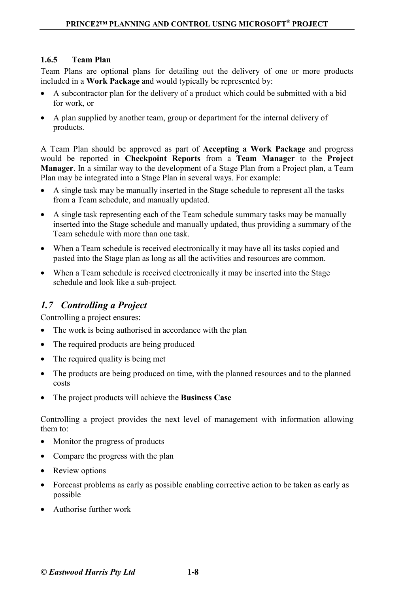#### **1.6.5 Team Plan**

Team Plans are optional plans for detailing out the delivery of one or more products included in a **Work Package** and would typically be represented by:

- A subcontractor plan for the delivery of a product which could be submitted with a bid for work, or
- A plan supplied by another team, group or department for the internal delivery of products.

A Team Plan should be approved as part of **Accepting a Work Package** and progress would be reported in **Checkpoint Reports** from a **Team Manager** to the **Project Manager**. In a similar way to the development of a Stage Plan from a Project plan, a Team Plan may be integrated into a Stage Plan in several ways. For example:

- A single task may be manually inserted in the Stage schedule to represent all the tasks from a Team schedule, and manually updated.
- A single task representing each of the Team schedule summary tasks may be manually inserted into the Stage schedule and manually updated, thus providing a summary of the Team schedule with more than one task.
- When a Team schedule is received electronically it may have all its tasks copied and pasted into the Stage plan as long as all the activities and resources are common.
- When a Team schedule is received electronically it may be inserted into the Stage schedule and look like a sub-project.

# *1.7 Controlling a Project*

Controlling a project ensures:

- The work is being authorised in accordance with the plan
- The required products are being produced
- The required quality is being met
- The products are being produced on time, with the planned resources and to the planned costs
- The project products will achieve the **Business Case**

Controlling a project provides the next level of management with information allowing them to:

- Monitor the progress of products
- Compare the progress with the plan
- Review options
- Forecast problems as early as possible enabling corrective action to be taken as early as possible
- Authorise further work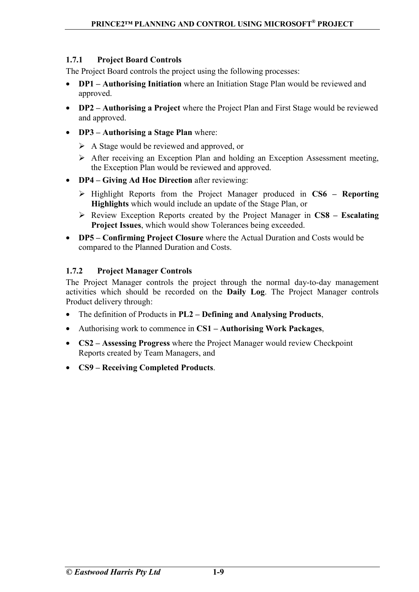#### **1.7.1 Project Board Controls**

The Project Board controls the project using the following processes:

- **DP1 Authorising Initiation** where an Initiation Stage Plan would be reviewed and approved.
- **DP2 Authorising a Project** where the Project Plan and First Stage would be reviewed and approved.
- **DP3 Authorising a Stage Plan** where:
	- $\triangleright$  A Stage would be reviewed and approved, or
	- ¾ After receiving an Exception Plan and holding an Exception Assessment meeting, the Exception Plan would be reviewed and approved.
- **DP4 Giving Ad Hoc Direction** after reviewing:
	- ¾ Highlight Reports from the Project Manager produced in **CS6 Reporting Highlights** which would include an update of the Stage Plan, or
	- ¾ Review Exception Reports created by the Project Manager in **CS8 Escalating Project Issues**, which would show Tolerances being exceeded.
- **DP5 Confirming Project Closure** where the Actual Duration and Costs would be compared to the Planned Duration and Costs.

#### **1.7.2 Project Manager Controls**

The Project Manager controls the project through the normal day-to-day management activities which should be recorded on the **Daily Log**. The Project Manager controls Product delivery through:

- The definition of Products in **PL2 Defining and Analysing Products**,
- Authorising work to commence in **CS1 Authorising Work Packages**,
- **CS2 Assessing Progress** where the Project Manager would review Checkpoint Reports created by Team Managers, and
- **CS9 Receiving Completed Products**.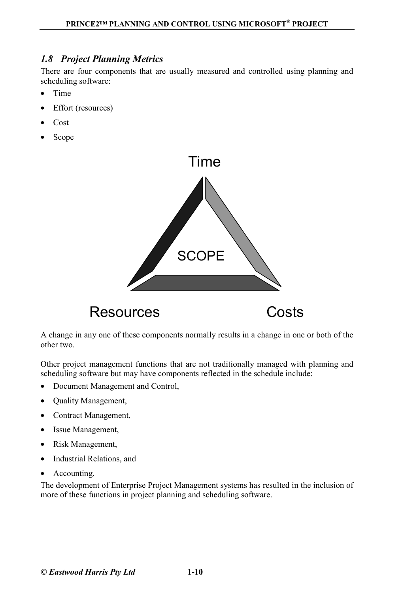# *1.8 Project Planning Metrics*

There are four components that are usually measured and controlled using planning and scheduling software:

- Time
- Effort (resources)
- Cost
- Scope



Resources Costs

A change in any one of these components normally results in a change in one or both of the other two.

Other project management functions that are not traditionally managed with planning and scheduling software but may have components reflected in the schedule include:

- Document Management and Control,
- Quality Management,
- Contract Management,
- Issue Management,
- Risk Management,
- Industrial Relations, and
- Accounting.

The development of Enterprise Project Management systems has resulted in the inclusion of more of these functions in project planning and scheduling software.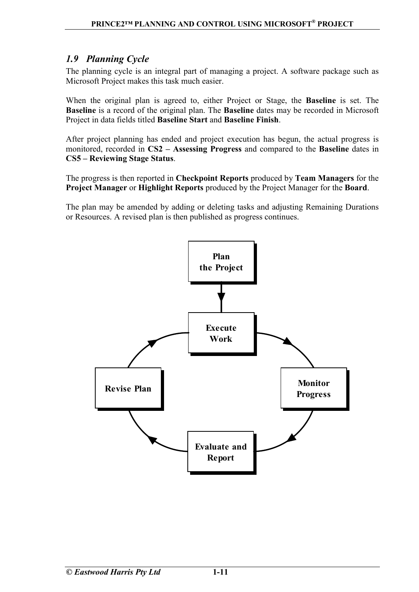# *1.9 Planning Cycle*

The planning cycle is an integral part of managing a project. A software package such as Microsoft Project makes this task much easier.

When the original plan is agreed to, either Project or Stage, the **Baseline** is set. The **Baseline** is a record of the original plan. The **Baseline** dates may be recorded in Microsoft Project in data fields titled **Baseline Start** and **Baseline Finish**.

After project planning has ended and project execution has begun, the actual progress is monitored, recorded in **CS2 – Assessing Progress** and compared to the **Baseline** dates in **CS5 – Reviewing Stage Status**.

The progress is then reported in **Checkpoint Reports** produced by **Team Managers** for the **Project Manager** or **Highlight Reports** produced by the Project Manager for the **Board**.

The plan may be amended by adding or deleting tasks and adjusting Remaining Durations or Resources. A revised plan is then published as progress continues.

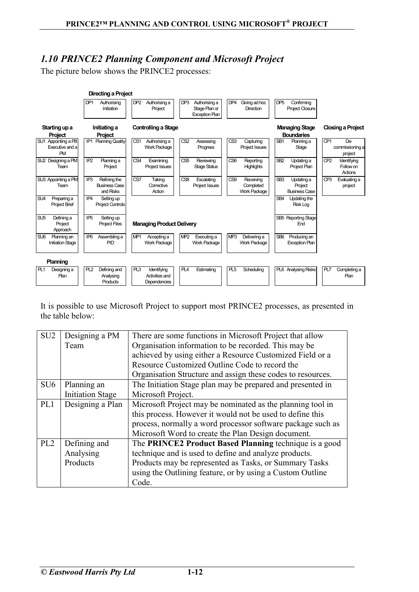# *1.10 PRINCE2 Planning Component and Microsoft Project*

The picture below shows the PRINCE2 processes:



It is possible to use Microsoft Project to support most PRINCE2 processes, as presented in the table below:

| SU <sub>2</sub> | Designing a PM          | There are some functions in Microsoft Project that allow    |
|-----------------|-------------------------|-------------------------------------------------------------|
|                 | Team                    | Organisation information to be recorded. This may be        |
|                 |                         | achieved by using either a Resource Customized Field or a   |
|                 |                         | Resource Customized Outline Code to record the              |
|                 |                         | Organisation Structure and assign these codes to resources. |
| SU <sub>6</sub> | Planning an             | The Initiation Stage plan may be prepared and presented in  |
|                 | <b>Initiation Stage</b> | Microsoft Project.                                          |
| PL1             | Designing a Plan        | Microsoft Project may be nominated as the planning tool in  |
|                 |                         | this process. However it would not be used to define this   |
|                 |                         | process, normally a word processor software package such as |
|                 |                         | Microsoft Word to create the Plan Design document.          |
| PL <sub>2</sub> | Defining and            | The PRINCE2 Product Based Planning technique is a good      |
|                 | Analysing               | technique and is used to define and analyze products.       |
|                 | Products                | Products may be represented as Tasks, or Summary Tasks      |
|                 |                         | using the Outlining feature, or by using a Custom Outline   |
|                 |                         | Code.                                                       |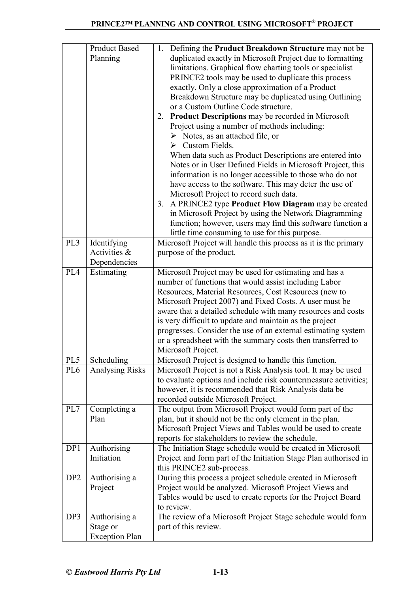|                 | <b>Product Based</b>              | 1. Defining the <b>Product Breakdown Structure</b> may not be    |
|-----------------|-----------------------------------|------------------------------------------------------------------|
|                 | Planning                          | duplicated exactly in Microsoft Project due to formatting        |
|                 |                                   | limitations. Graphical flow charting tools or specialist         |
|                 |                                   | PRINCE2 tools may be used to duplicate this process              |
|                 |                                   | exactly. Only a close approximation of a Product                 |
|                 |                                   | Breakdown Structure may be duplicated using Outlining            |
|                 |                                   | or a Custom Outline Code structure.                              |
|                 |                                   | <b>Product Descriptions</b> may be recorded in Microsoft<br>2.   |
|                 |                                   | Project using a number of methods including:                     |
|                 |                                   | $\triangleright$ Notes, as an attached file, or                  |
|                 |                                   | $\triangleright$ Custom Fields.                                  |
|                 |                                   | When data such as Product Descriptions are entered into          |
|                 |                                   | Notes or in User Defined Fields in Microsoft Project, this       |
|                 |                                   | information is no longer accessible to those who do not          |
|                 |                                   | have access to the software. This may deter the use of           |
|                 |                                   | Microsoft Project to record such data.                           |
|                 |                                   | 3. A PRINCE2 type Product Flow Diagram may be created            |
|                 |                                   | in Microsoft Project by using the Network Diagramming            |
|                 |                                   | function; however, users may find this software function a       |
|                 |                                   | little time consuming to use for this purpose.                   |
| PL3             | Identifying                       | Microsoft Project will handle this process as it is the primary  |
|                 | Activities &                      | purpose of the product.                                          |
|                 | Dependencies                      |                                                                  |
| PL <sub>4</sub> | Estimating                        | Microsoft Project may be used for estimating and has a           |
|                 |                                   | number of functions that would assist including Labor            |
|                 |                                   | Resources, Material Resources, Cost Resources (new to            |
|                 |                                   | Microsoft Project 2007) and Fixed Costs. A user must be          |
|                 |                                   | aware that a detailed schedule with many resources and costs     |
|                 |                                   | is very difficult to update and maintain as the project          |
|                 |                                   | progresses. Consider the use of an external estimating system    |
|                 |                                   | or a spreadsheet with the summary costs then transferred to      |
|                 |                                   | Microsoft Project.                                               |
| PL5             | Scheduling                        | Microsoft Project is designed to handle this function.           |
| PL <sub>6</sub> | <b>Analysing Risks</b>            | Microsoft Project is not a Risk Analysis tool. It may be used    |
|                 |                                   | to evaluate options and include risk countermeasure activities;  |
|                 |                                   | however, it is recommended that Risk Analysis data be            |
|                 |                                   | recorded outside Microsoft Project.                              |
| PL7             | Completing a                      | The output from Microsoft Project would form part of the         |
|                 | Plan                              | plan, but it should not be the only element in the plan.         |
|                 |                                   | Microsoft Project Views and Tables would be used to create       |
|                 |                                   | reports for stakeholders to review the schedule.                 |
| DP1             | Authorising<br>Initiation         | The Initiation Stage schedule would be created in Microsoft      |
|                 |                                   | Project and form part of the Initiation Stage Plan authorised in |
|                 |                                   | this PRINCE2 sub-process.                                        |
| DP <sub>2</sub> | Authorising a                     | During this process a project schedule created in Microsoft      |
|                 | Project                           | Project would be analyzed. Microsoft Project Views and           |
|                 |                                   | Tables would be used to create reports for the Project Board     |
| DP3             |                                   | to review.                                                       |
|                 | Authorising a                     | The review of a Microsoft Project Stage schedule would form      |
|                 | Stage or<br><b>Exception Plan</b> | part of this review.                                             |
|                 |                                   |                                                                  |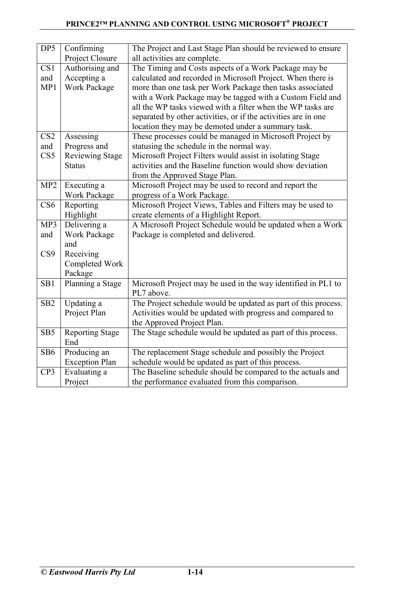| DP5             | Confirming             | The Project and Last Stage Plan should be reviewed to ensure   |
|-----------------|------------------------|----------------------------------------------------------------|
|                 | Project Closure        | all activities are complete.                                   |
| CS1             | Authorising and        | The Timing and Costs aspects of a Work Package may be          |
| and             | Accepting a            | calculated and recorded in Microsoft Project. When there is    |
| MP1             | <b>Work Package</b>    | more than one task per Work Package then tasks associated      |
|                 |                        | with a Work Package may be tagged with a Custom Field and      |
|                 |                        | all the WP tasks viewed with a filter when the WP tasks are    |
|                 |                        | separated by other activities, or if the activities are in one |
|                 |                        | location they may be demoted under a summary task.             |
| CS <sub>2</sub> | Assessing              | These processes could be managed in Microsoft Project by       |
| and             | Progress and           | statusing the schedule in the normal way.                      |
| CS5             | <b>Reviewing Stage</b> | Microsoft Project Filters would assist in isolating Stage      |
|                 | <b>Status</b>          | activities and the Baseline function would show deviation      |
|                 |                        | from the Approved Stage Plan.                                  |
| MP <sub>2</sub> | Executing a            | Microsoft Project may be used to record and report the         |
|                 | <b>Work Package</b>    | progress of a Work Package.                                    |
| CS <sub>6</sub> | Reporting              | Microsoft Project Views, Tables and Filters may be used to     |
|                 | Highlight              | create elements of a Highlight Report.                         |
| MP3             | Delivering a           | A Microsoft Project Schedule would be updated when a Work      |
| and             | Work Package           | Package is completed and delivered.                            |
|                 | and                    |                                                                |
| CS9             | Receiving              |                                                                |
|                 | Completed Work         |                                                                |
|                 | Package                |                                                                |
| SB <sub>1</sub> | Planning a Stage       | Microsoft Project may be used in the way identified in PL1 to  |
|                 |                        | PL7 above.                                                     |
| SB <sub>2</sub> | Updating a             | The Project schedule would be updated as part of this process. |
|                 | Project Plan           | Activities would be updated with progress and compared to      |
|                 |                        | the Approved Project Plan.                                     |
| SB <sub>5</sub> | <b>Reporting Stage</b> | The Stage schedule would be updated as part of this process.   |
|                 | End                    |                                                                |
| SB <sub>6</sub> | Producing an           | The replacement Stage schedule and possibly the Project        |
|                 | <b>Exception Plan</b>  | schedule would be updated as part of this process.             |
| CP3             | Evaluating a           | The Baseline schedule should be compared to the actuals and    |
|                 | Project                | the performance evaluated from this comparison.                |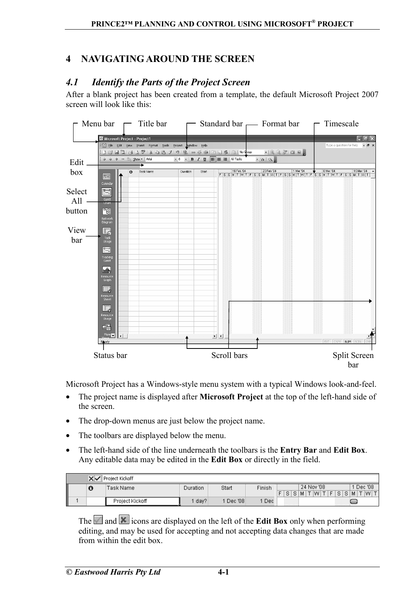# **4 NAVIGATING AROUND THE SCREEN**

# *4.1 Identify the Parts of the Project Screen*

After a blank project has been created from a template, the default Microsoft Project 2007 screen will look like this:



Microsoft Project has a Windows-style menu system with a typical Windows look-and-feel.

- The project name is displayed after **Microsoft Project** at the top of the left-hand side of the screen.
- The drop-down menus are just below the project name.
- The toolbars are displayed below the menu.
- The left-hand side of the line underneath the toolbars is the **Entry Bar** and **Edit Box**. Any editable data may be edited in the **Edit Box** or directly in the field.

|   | X√ Project Kickoff |          |           |        |        |                        |                |                        |
|---|--------------------|----------|-----------|--------|--------|------------------------|----------------|------------------------|
| ค | Task Name          | Duration | Start     | Finish | s<br>s | 24 Nov '08<br>IW.<br>M | S I<br>s<br>F. | 1 Dec '08<br> W T<br>M |
|   | Project Kickoff    | day?     | 1 Dec '08 | 1 Decl |        |                        |                | L.                     |

The and  $\mathbf{\times}$  icons are displayed on the left of the **Edit Box** only when performing editing, and may be used for accepting and not accepting data changes that are made from within the edit box.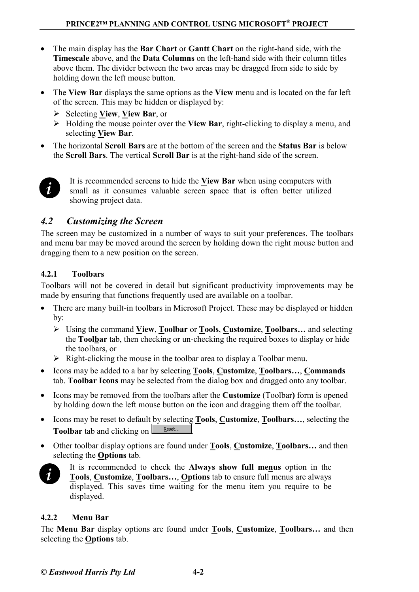- The main display has the **Bar Chart** or **Gantt Chart** on the right-hand side, with the **Timescale** above, and the **Data Columns** on the left-hand side with their column titles above them. The divider between the two areas may be dragged from side to side by holding down the left mouse button.
- The **View Bar** displays the same options as the **View** menu and is located on the far left of the screen. This may be hidden or displayed by:
	- ¾ Selecting **View**, **View Bar**, or
	- ¾ Holding the mouse pointer over the **View Bar**, right-clicking to display a menu, and selecting **View Bar**.
- The horizontal **Scroll Bars** are at the bottom of the screen and the **Status Bar** is below the **Scroll Bars**. The vertical **Scroll Bar** is at the right-hand side of the screen.



It is recommended screens to hide the **View Bar** when using computers with small as it consumes valuable screen space that is often better utilized showing project data.

# *4.2 Customizing the Screen*

The screen may be customized in a number of ways to suit your preferences. The toolbars and menu bar may be moved around the screen by holding down the right mouse button and dragging them to a new position on the screen.

#### **4.2.1 Toolbars**

Toolbars will not be covered in detail but significant productivity improvements may be made by ensuring that functions frequently used are available on a toolbar.

- There are many built-in toolbars in Microsoft Project. These may be displayed or hidden by:
	- ¾ Using the command **View**, **Toolbar** or **Tools**, **Customize**, **Toolbars…** and selecting the **Toolbar** tab, then checking or un-checking the required boxes to display or hide the toolbars, or
	- $\triangleright$  Right-clicking the mouse in the toolbar area to display a Toolbar menu.
- Icons may be added to a bar by selecting **Tools**, **Customize**, **Toolbars…**, **Commands**  tab. **Toolbar Icons** may be selected from the dialog box and dragged onto any toolbar.
- Icons may be removed from the toolbars after the **Customize** (Toolbar**)** form is opened by holding down the left mouse button on the icon and dragging them off the toolbar.
- Icons may be reset to default by selecting **Tools**, **Customize**, **Toolbars…**, selecting the **Toolbar** tab and clicking on **Reset**...
- Other toolbar display options are found under **Tools**, **Customize**, **Toolbars…** and then selecting the **Options** tab.



It is recommended to check the **Always show full menus** option in the **Tools**, **Customize**, **Toolbars…**, **Options** tab to ensure full menus are always displayed. This saves time waiting for the menu item you require to be displayed.

#### **4.2.2 Menu Bar**

The **Menu Bar** display options are found under **Tools**, **Customize**, **Toolbars…** and then selecting the **Options** tab.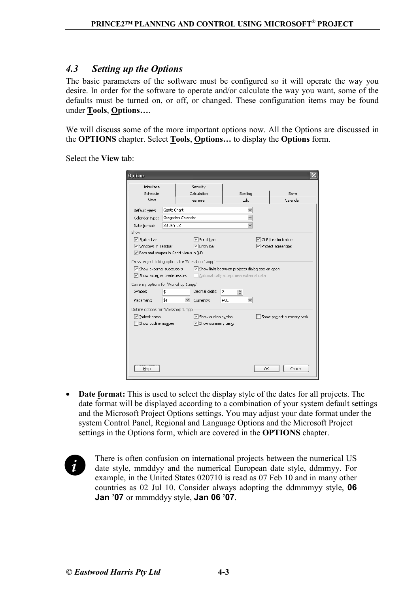#### *4.3 Setting up the Options*

The basic parameters of the software must be configured so it will operate the way you desire. In order for the software to operate and/or calculate the way you want, some of the defaults must be turned on, or off, or changed. These configuration items may be found under **Tools**, **Options…**.

We will discuss some of the more important options now. All the Options are discussed in the **OPTIONS** chapter. Select **Tools**, **Options…** to display the **Options** form.

Select the **View** tab:

| <b>Options</b>                                                                                                                                                   |                                              |                                           |                                                                                                                                                 |    |                           |
|------------------------------------------------------------------------------------------------------------------------------------------------------------------|----------------------------------------------|-------------------------------------------|-------------------------------------------------------------------------------------------------------------------------------------------------|----|---------------------------|
| Interface                                                                                                                                                        |                                              | Security                                  |                                                                                                                                                 |    |                           |
| Schedule<br>View                                                                                                                                                 |                                              | Calculation<br>General                    | Spelling<br>Edit                                                                                                                                |    | Save<br>Calendar          |
|                                                                                                                                                                  |                                              |                                           |                                                                                                                                                 |    |                           |
| Default view:                                                                                                                                                    | Gantt Chart                                  |                                           |                                                                                                                                                 |    |                           |
| Calendar type:                                                                                                                                                   | Gregorian Calendar                           |                                           |                                                                                                                                                 |    |                           |
| Date format:                                                                                                                                                     | 28 Jan '02                                   |                                           |                                                                                                                                                 |    |                           |
| Show                                                                                                                                                             |                                              |                                           |                                                                                                                                                 |    |                           |
| ☑ Status bar                                                                                                                                                     |                                              | □ Scroll bars                             |                                                                                                                                                 |    | OLE links indicators      |
| V Windows in Taskbar                                                                                                                                             | $\vee$ Bars and shapes in Gantt views in 3-D | $\triangledown$ Entry bar                 |                                                                                                                                                 |    | √ Project screentips      |
| Show external successors<br>Show external predecessors<br>Currency options for 'Workshop 1.mpp'<br>Symbol:<br>Placement:<br>Outline options for 'Workshop 1.mpp' | \$<br>\$1                                    | Decimal digits:<br>Currency:              | Show links between projects dialog box on open<br>Automatically accept new external data<br>$\mathbf{2}$<br>$\frac{\lambda}{\nu}$<br><b>AUD</b> |    |                           |
| $\boxed{\checkmark}$ Indent name<br>Show outline number                                                                                                          |                                              | Show outline symbol<br>Show summary tasks |                                                                                                                                                 |    | Show project summary task |
| Help                                                                                                                                                             |                                              |                                           |                                                                                                                                                 | OK | Cancel                    |

• **Date format:** This is used to select the display style of the dates for all projects. The date format will be displayed according to a combination of your system default settings and the Microsoft Project Options settings. You may adjust your date format under the system Control Panel, Regional and Language Options and the Microsoft Project settings in the Options form, which are covered in the **OPTIONS** chapter.



There is often confusion on international projects between the numerical US date style, mmddyy and the numerical European date style, ddmmyy. For example, in the United States 020710 is read as 07 Feb 10 and in many other countries as 02 Jul 10. Consider always adopting the ddmmmyy style, **06 Jan '07** or mmmddyy style, **Jan 06 '07**.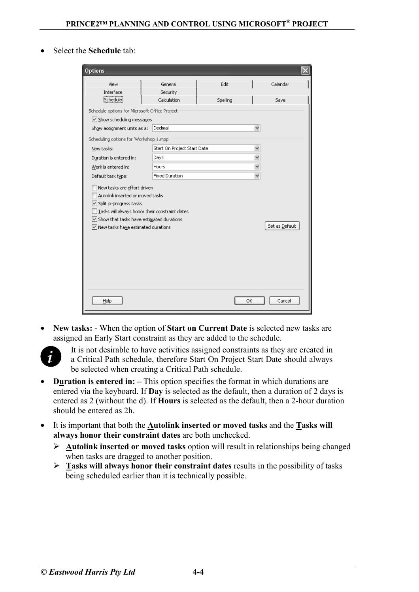• Select the **Schedule** tab:

| <b>Options</b>                                                                                                                                                                    |                                                |          |                |
|-----------------------------------------------------------------------------------------------------------------------------------------------------------------------------------|------------------------------------------------|----------|----------------|
| View<br>Interface                                                                                                                                                                 | General<br>Security                            | Edit     | Calendar       |
| Schedule                                                                                                                                                                          | Calculation                                    | Spelling | Save           |
| Schedule options for Microsoft Office Project                                                                                                                                     |                                                |          |                |
| ☑ Show scheduling messages                                                                                                                                                        |                                                |          |                |
| Show assignment units as a:                                                                                                                                                       | Decimal                                        |          | $\checkmark$   |
| Scheduling options for 'Workshop 1.mpp'                                                                                                                                           |                                                |          |                |
| New tasks:                                                                                                                                                                        | Start On Project Start Date                    |          |                |
| Duration is entered in:                                                                                                                                                           | Days                                           |          |                |
| Work is entered in:                                                                                                                                                               | Hours                                          |          |                |
| Default task type:                                                                                                                                                                | <b>Fixed Duration</b>                          |          |                |
| New tasks are effort driven<br>Autolink inserted or moved tasks<br>Split in-progress tasks<br>v<br>Show that tasks have estimated durations<br>New tasks have estimated durations | Tasks will always honor their constraint dates |          | Set as Default |
| Help                                                                                                                                                                              |                                                |          | Cancel<br>ОК   |

• **New tasks:** - When the option of **Start on Current Date** is selected new tasks are assigned an Early Start constraint as they are added to the schedule.



It is not desirable to have activities assigned constraints as they are created in a Critical Path schedule, therefore Start On Project Start Date should always be selected when creating a Critical Path schedule.

- **Duration is entered in:** This option specifies the format in which durations are entered via the keyboard. If **Day** is selected as the default, then a duration of 2 days is entered as 2 (without the d). If **Hours** is selected as the default, then a 2-hour duration should be entered as 2h.
- It is important that both the **Autolink inserted or moved tasks** and the **Tasks will always honor their constraint dates** are both unchecked.
	- ¾ **Autolink inserted or moved tasks** option will result in relationships being changed when tasks are dragged to another position.
	- ¾ **Tasks will always honor their constraint dates** results in the possibility of tasks being scheduled earlier than it is technically possible.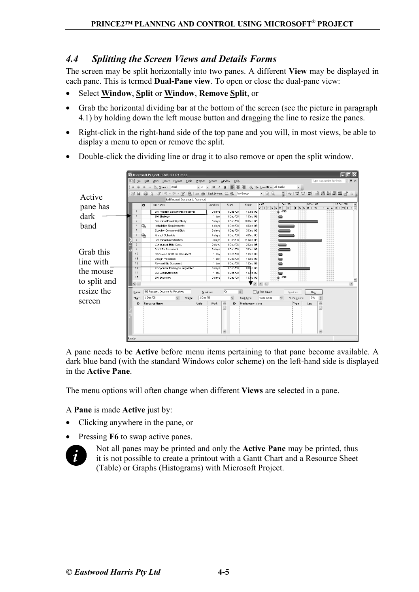# *4.4 Splitting the Screen Views and Details Forms*

The screen may be split horizontally into two panes. A different **View** may be displayed in each pane. This is termed **Dual-Pane view**. To open or close the dual-pane view:

- Select **Window**, **Split** or **Window**, **Remove Split**, or
- Grab the horizontal dividing bar at the bottom of the screen (see the picture in paragraph 4.1) by holding down the left mouse button and dragging the line to resize the panes.
- Right-click in the right-hand side of the top pane and you will, in most views, be able to display a menu to open or remove the split.
- Double-click the dividing line or drag it to also remove or open the split window.

|              |       |                   |             |           | Microsoft Project - OzBuild 04.mpp                             |         |              |                |                         |                        |                                                        |                    |                  |                                  |           |                          |                          |            | $\Box$ $\times$ |
|--------------|-------|-------------------|-------------|-----------|----------------------------------------------------------------|---------|--------------|----------------|-------------------------|------------------------|--------------------------------------------------------|--------------------|------------------|----------------------------------|-----------|--------------------------|--------------------------|------------|-----------------|
|              | 回     | File              |             |           | Edit View Insert Format Tools                                  |         | Project      | Report         | Window                  | Help                   |                                                        |                    |                  |                                  |           |                          | Type a question for help |            | $   \times$     |
|              |       |                   |             |           | $=$ $\pm$ <sub>0</sub> Show $\cdot$ Arial                      |         |              |                |                         |                        | • 8 •   B <i>I</i> U   三 三 三 当 《 Y Level Now All Tasks |                    |                  |                                  |           |                          |                          |            |                 |
| Active       |       | È                 |             |           | ● Q   ダ   り - ロ - 図   e3   so m   Task Drivers 三 g5   No Group |         |              |                |                         |                        |                                                        | $-QQ$              |                  | HATTESSES 1                      |           |                          |                          |            |                 |
|              |       |                   |             |           | <b>Bid Request Documents Received</b>                          |         |              |                |                         |                        |                                                        |                    |                  |                                  |           |                          |                          |            |                 |
| pane has     |       |                   | $\bullet$   |           | <b>Task Name</b>                                               |         |              | Duration       | Start                   |                        | Finish                                                 | $\sqrt{08}$        | 1 Dec '08        | WITFSSMTWTFSSMTWTFSSMTWTFSSMTWTF | 8 Dec '08 |                          |                          | 15 Dec '08 |                 |
|              |       | $\mathbf{1}$      |             |           | <b>Bid Request Documents Received</b>                          |         |              | 0 days         |                         | 1 Dec '08              | 1 Dec '08                                              |                    | 4112             |                                  |           |                          |                          |            |                 |
| dark         |       | $\overline{2}$    |             |           | <b>Bid Strategy</b>                                            |         |              | 1 day          |                         | 1 Dec '08              | 1 Dec '08                                              |                    | 0                |                                  |           |                          |                          |            |                 |
|              |       | 3                 |             |           | <b>Technical Feasibility Study</b>                             |         |              | 8 days         |                         | 1 Dec '08              | 10 Dec '08                                             |                    |                  |                                  |           |                          |                          |            |                 |
| band         |       | 4                 | $Q_{\rm H}$ |           | Installation Requirements                                      |         |              | 4 days         |                         | 1 Dec '08              | 4 Dec '08                                              |                    |                  |                                  |           |                          |                          |            |                 |
|              |       | 5                 |             |           | Supplier Component Bids                                        |         |              | 3 days         |                         | 1 Dec '08              | 3 Dec '08                                              |                    |                  |                                  |           |                          |                          |            |                 |
|              |       | 6                 | G,          |           | Project Schedule                                               |         |              | 4 days         |                         | 1 Dec '08              | 4 Dec '08                                              |                    |                  |                                  |           |                          |                          |            |                 |
|              |       | $\overline{7}$    |             |           | <b>Technical Specification</b>                                 |         |              | 9 days         |                         | 1 Dec '08              | 11 Dec '08                                             |                    |                  |                                  |           |                          |                          |            |                 |
|              |       | 8<br>$\mathbf{a}$ |             |           | Component Bids Costs                                           |         |              | 2 days         |                         | 1 Dec '08              | 2 Dec '08                                              |                    |                  |                                  |           |                          |                          |            |                 |
| Grab this    |       | 10                |             |           | <b>Draft Bid Document</b><br>Reviewed Draft Bid Document       |         |              | 3 days         |                         | 1 Dec '08<br>1 Dec '08 | 3 Dec '08<br>1 Dec '08                                 |                    |                  |                                  |           |                          |                          |            |                 |
|              |       | 11                |             |           | Design Validation                                              |         |              | 1 day<br>1 day |                         | 1 Dec '08              | 1 Dec '08                                              |                    | $\bullet$        |                                  |           |                          |                          |            |                 |
| line with    |       | 12                |             |           | Revised Bid Document                                           |         |              | 1 day          |                         | 1 Dec '08              | 1 Dec '08                                              |                    | ◒                |                                  |           |                          |                          |            |                 |
|              |       | 13                |             |           | Component Packages Negotiated                                  |         |              | 6 days         |                         | 1 Dec '08              | 8 Dec '08                                              |                    |                  |                                  |           |                          |                          |            |                 |
| the mouse    |       | 14                |             |           | <b>Bid Document Final</b>                                      |         |              | 1 day          |                         | 1 Dec '08              | 1 Dec '08                                              |                    |                  |                                  |           |                          |                          |            |                 |
|              |       | 15                |             |           | <b>Bid Submitted</b>                                           |         |              | 0 days         |                         | 1 Dec '08              | 1 Dec '08                                              |                    | $\triangle$ 1/12 |                                  |           |                          |                          |            |                 |
| to split and |       | $\leftarrow$      |             |           |                                                                |         |              |                |                         |                        | $\rightarrow$ <                                        |                    |                  |                                  |           |                          |                          |            | $\rightarrow$   |
| resize the   |       | Name:             |             |           | <b>Bid Request Documents Received</b>                          |         |              | Duration:      | 0d                      | $\ddot{\phantom{0}}$   |                                                        | Effort driven      |                  | Previous                         | Next      |                          |                          |            |                 |
|              |       | Start:            |             | 1 Dec '08 | $\checkmark$                                                   | Finish: | 1 Dec '08    |                |                         | $\checkmark$           | Task type:                                             | <b>Fixed Units</b> |                  | % Complete:                      | 0%        | $\div$                   |                          |            |                 |
| screen       |       | ID                |             |           | Resource Name                                                  |         | <b>Units</b> | Work           | $\widehat{\phantom{a}}$ | ID.                    | Predecessor Name                                       |                    |                  | Type                             | Lag       | $\overline{\phantom{a}}$ |                          |            |                 |
|              |       |                   |             |           |                                                                |         |              |                |                         |                        |                                                        |                    |                  |                                  |           |                          |                          |            |                 |
|              |       |                   |             |           |                                                                |         |              |                |                         |                        |                                                        |                    |                  |                                  |           |                          |                          |            |                 |
|              |       |                   |             |           |                                                                |         |              |                |                         |                        |                                                        |                    |                  |                                  |           |                          |                          |            |                 |
|              |       |                   |             |           |                                                                |         |              |                |                         |                        |                                                        |                    |                  |                                  |           |                          |                          |            |                 |
|              |       |                   |             |           |                                                                |         |              |                |                         |                        |                                                        |                    |                  |                                  |           |                          |                          |            |                 |
|              |       |                   |             |           |                                                                |         |              |                | $\checkmark$            |                        |                                                        |                    |                  |                                  |           | $\checkmark$             |                          |            |                 |
|              | Ready |                   |             |           |                                                                |         |              |                |                         |                        |                                                        |                    |                  |                                  |           |                          |                          |            |                 |
|              |       |                   |             |           |                                                                |         |              |                |                         |                        |                                                        |                    |                  |                                  |           |                          |                          |            |                 |

A pane needs to be **Active** before menu items pertaining to that pane become available. A dark blue band (with the standard Windows color scheme) on the left-hand side is displayed in the **Active Pane**.

The menu options will often change when different **Views** are selected in a pane.

A **Pane** is made **Active** just by:

- Clicking anywhere in the pane, or
- Pressing **F6** to swap active panes.



*i* Not all panes may be printed and only the **Active Pane** may be printed, thus it is not possible to create a printout with a Gantt Chart and a Resource Sheet (Table) or Graphs (Histograms) with Microsoft Project.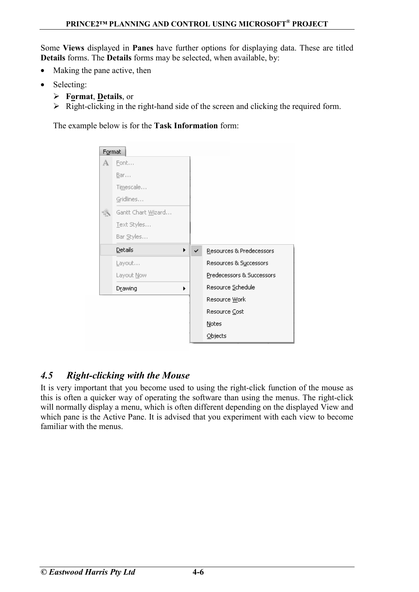Some **Views** displayed in **Panes** have further options for displaying data. These are titled **Details** forms. The **Details** forms may be selected, when available, by:

- Making the pane active, then
- Selecting:
	- ¾ **Format**, **Details**, or
	- $\triangleright$  Right-clicking in the right-hand side of the screen and clicking the required form.

The example below is for the **Task Information** form:

| Format |                    |   |                           |
|--------|--------------------|---|---------------------------|
| А      | Font               |   |                           |
|        | Bar                |   |                           |
|        | Timescale          |   |                           |
|        | Gridlines          |   |                           |
| -29    | Gantt Chart Wizard |   |                           |
|        | Text Styles        |   |                           |
|        | Bar Styles         |   |                           |
|        | Details            | v | Resources & Predecessors  |
|        | Layout             |   | Resources & Successors    |
|        | Layout Now         |   | Predecessors & Successors |
|        | Drawing<br>▶       |   | Resource Schedule         |
|        |                    |   | Resource Work             |
|        |                    |   | Resource Cost             |
|        |                    |   | <b>Notes</b>              |
|        |                    |   | Objects                   |

# *4.5 Right-clicking with the Mouse*

It is very important that you become used to using the right-click function of the mouse as this is often a quicker way of operating the software than using the menus. The right-click will normally display a menu, which is often different depending on the displayed View and which pane is the Active Pane. It is advised that you experiment with each view to become familiar with the menus.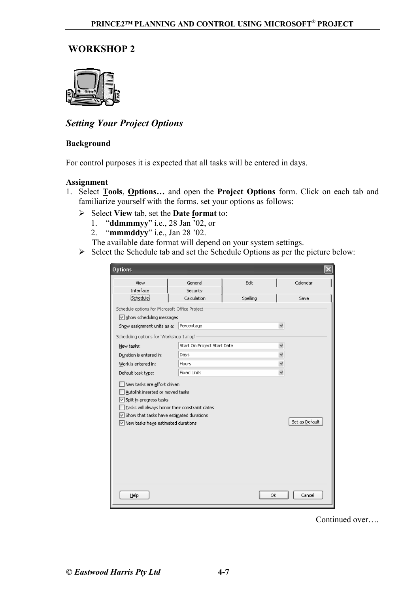# **WORKSHOP 2**



*Setting Your Project Options* 

#### **Background**

For control purposes it is expected that all tasks will be entered in days.

#### **Assignment**

- 1. Select **Tools**, **Options…** and open the **Project Options** form. Click on each tab and familiarize yourself with the forms. set your options as follows:
	- ¾ Select **View** tab, set the **Date format** to:
		- 1. "**ddmmmyy**" i.e., 28 Jan '02, or
		- 2. "**mmmddyy**" i.e., Jan 28 '02.

The available date format will depend on your system settings.

 $\triangleright$  Select the Schedule tab and set the Schedule Options as per the picture below:

| Options                                                                                                                                                                                          |                                                |                  |                  |
|--------------------------------------------------------------------------------------------------------------------------------------------------------------------------------------------------|------------------------------------------------|------------------|------------------|
| View<br>Interface<br>Schedule                                                                                                                                                                    | General<br>Security<br>Calculation             | Edit<br>Spelling | Calendar<br>Save |
| Schedule options for Microsoft Office Project<br>$\vee$ Show scheduling messages                                                                                                                 |                                                |                  |                  |
| Show assignment units as a:<br>Scheduling options for 'Workshop 1.mpp'                                                                                                                           | Percentage                                     |                  | $\checkmark$     |
| New tasks:                                                                                                                                                                                       | Start On Project Start Date                    |                  |                  |
| Duration is entered in:                                                                                                                                                                          | Days                                           |                  |                  |
| Work is entered in:                                                                                                                                                                              | Hours                                          |                  |                  |
| Default task type:                                                                                                                                                                               | <b>Fixed Units</b>                             |                  | v                |
| New tasks are effort driven<br>Autolink inserted or moved tasks<br>▽ Split in-progress tasks<br>Show that tasks have estimated durations<br>∣√<br>$\sqrt{\ }$ New tasks have estimated durations | Tasks will always honor their constraint dates |                  | Set as Default   |
| Help                                                                                                                                                                                             |                                                | ОK               | Cancel           |

Continued over….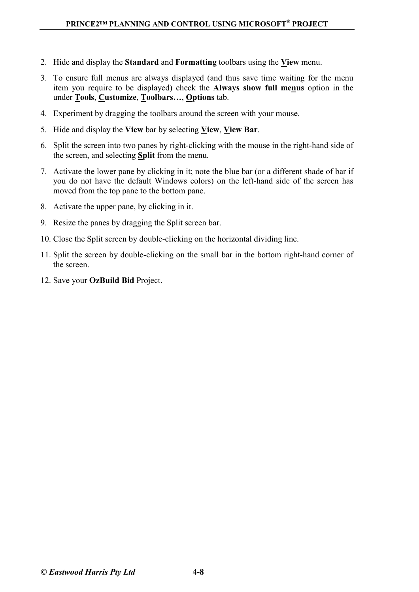- 2. Hide and display the **Standard** and **Formatting** toolbars using the **View** menu.
- 3. To ensure full menus are always displayed (and thus save time waiting for the menu item you require to be displayed) check the **Always show full menus** option in the under **Tools**, **Customize**, **Toolbars…**, **Options** tab.
- 4. Experiment by dragging the toolbars around the screen with your mouse.
- 5. Hide and display the **View** bar by selecting **View**, **View Bar**.
- 6. Split the screen into two panes by right-clicking with the mouse in the right-hand side of the screen, and selecting **Split** from the menu.
- 7. Activate the lower pane by clicking in it; note the blue bar (or a different shade of bar if you do not have the default Windows colors) on the left-hand side of the screen has moved from the top pane to the bottom pane.
- 8. Activate the upper pane, by clicking in it.
- 9. Resize the panes by dragging the Split screen bar.
- 10. Close the Split screen by double-clicking on the horizontal dividing line.
- 11. Split the screen by double-clicking on the small bar in the bottom right-hand corner of the screen.
- 12. Save your **OzBuild Bid** Project.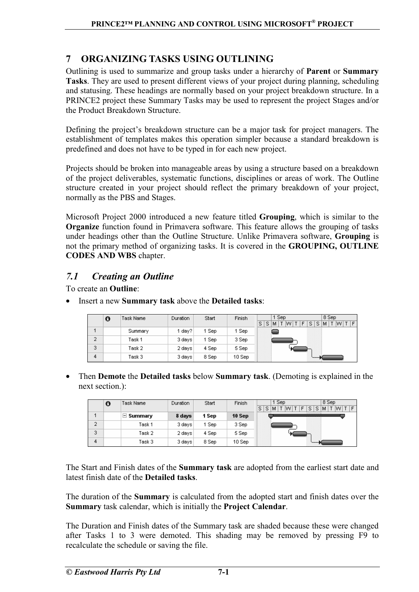# **7 ORGANIZING TASKS USING OUTLINING**

Outlining is used to summarize and group tasks under a hierarchy of **Parent** or **Summary Tasks**. They are used to present different views of your project during planning, scheduling and statusing. These headings are normally based on your project breakdown structure. In a PRINCE2 project these Summary Tasks may be used to represent the project Stages and/or the Product Breakdown Structure.

Defining the project's breakdown structure can be a major task for project managers. The establishment of templates makes this operation simpler because a standard breakdown is predefined and does not have to be typed in for each new project.

Projects should be broken into manageable areas by using a structure based on a breakdown of the project deliverables, systematic functions, disciplines or areas of work. The Outline structure created in your project should reflect the primary breakdown of your project, normally as the PBS and Stages.

Microsoft Project 2000 introduced a new feature titled **Grouping**, which is similar to the **Organize** function found in Primavera software. This feature allows the grouping of tasks under headings other than the Outline Structure. Unlike Primavera software, **Grouping** is not the primary method of organizing tasks. It is covered in the **GROUPING, OUTLINE CODES AND WBS** chapter.

# *7.1 Creating an Outline*

To create an **Outline**:

• Insert a new **Summary task** above the **Detailed tasks**:

|                | Θ | Task Name | Duration | Start | Finish |   |   |   | 1 Sep |     |  |   |   |   |   | 8 Sep |   |  |   |  |
|----------------|---|-----------|----------|-------|--------|---|---|---|-------|-----|--|---|---|---|---|-------|---|--|---|--|
|                |   |           |          |       |        | s | s | м |       | lW. |  | F | s | s | м |       | w |  | F |  |
|                |   | Summary   | 1 day?   | 1 Sep | 1 Sep  |   |   |   |       |     |  |   |   |   |   |       |   |  |   |  |
| 2              |   | Task 1    | 3 days   | 1 Sep | 3 Sep  |   |   |   |       |     |  |   |   |   |   |       |   |  |   |  |
| 3              |   | Task 2    | 2 days   | 4 Sep | 5 Sep  |   |   |   |       |     |  |   |   |   |   |       |   |  |   |  |
| $\overline{4}$ |   | Task 3    | 3 days   | 8 Sep | 10 Sep |   |   |   |       |     |  |   |   |   |   |       |   |  |   |  |

• Then **Demote** the **Detailed tasks** below **Summary task**. (Demoting is explained in the next section.):

|   | Θ | Task Name  | Duration | Start | Finish   |    |   |   | 1 Sep |    |   |   |   | 8 Sep |  |      |  |   |
|---|---|------------|----------|-------|----------|----|---|---|-------|----|---|---|---|-------|--|------|--|---|
|   |   |            |          |       |          | sΙ | s | м |       | W. | F | s | s | м     |  | IW I |  | F |
|   |   | ∣⊟ Summary | 8 days   | 1 Sep | $10$ Sep |    |   |   |       |    |   |   |   |       |  |      |  |   |
| 2 |   | Task 1     | 3 days   | 1 Sep | 3 Sep    |    |   |   |       |    |   |   |   |       |  |      |  |   |
| 3 |   | Task 2     | 2 days   | 4 Sep | 5 Sep    |    |   |   |       |    |   |   |   |       |  |      |  |   |
| 4 |   | Task 3     | 3 days   | 8 Sep | 10 Sep   |    |   |   |       |    |   |   |   |       |  |      |  |   |

The Start and Finish dates of the **Summary task** are adopted from the earliest start date and latest finish date of the **Detailed tasks**.

The duration of the **Summary** is calculated from the adopted start and finish dates over the **Summary** task calendar, which is initially the **Project Calendar**.

The Duration and Finish dates of the Summary task are shaded because these were changed after Tasks 1 to 3 were demoted. This shading may be removed by pressing F9 to recalculate the schedule or saving the file.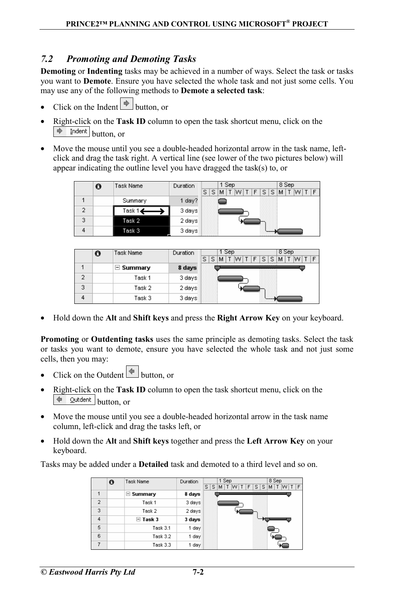# *7.2 Promoting and Demoting Tasks*

**Demoting** or **Indenting** tasks may be achieved in a number of ways. Select the task or tasks you want to **Demote**. Ensure you have selected the whole task and not just some cells. You may use any of the following methods to **Demote a selected task**:

- Click on the Indent  $\frac{1}{\sqrt{2}}$  button, or
- Right-click on the **Task ID** column to open the task shortcut menu, click on the Indent button, or ♣
- Move the mouse until you see a double-headed horizontal arrow in the task name, leftclick and drag the task right. A vertical line (see lower of the two pictures below) will appear indicating the outline level you have dragged the task(s) to, or



|   | ο | Task Name         | Duration |    |   |   | 1 Sep |         |  |     |   |   | 8 Sep |   |     |  |
|---|---|-------------------|----------|----|---|---|-------|---------|--|-----|---|---|-------|---|-----|--|
|   |   |                   |          | s. | s | м |       | WIT IF. |  | IS. | s | м |       | w | F I |  |
|   |   | $\boxdot$ Summary | 8 days   |    |   |   |       |         |  |     |   |   |       |   |     |  |
| 2 |   | Task 1            | 3 days   |    |   |   |       |         |  |     |   |   |       |   |     |  |
| 3 |   | Task 2            | 2 days   |    |   |   |       |         |  |     |   |   |       |   |     |  |
|   |   | Task 3            | 3 days   |    |   |   |       |         |  |     |   |   |       |   |     |  |

• Hold down the **Alt** and **Shift keys** and press the **Right Arrow Key** on your keyboard.

**Promoting** or **Outdenting tasks** uses the same principle as demoting tasks. Select the task or tasks you want to demote, ensure you have selected the whole task and not just some cells, then you may:

- Click on the Outdent  $\bullet$  button, or
- Right-click on the **Task ID** column to open the task shortcut menu, click on the **Qutdent** button, or ⇚
- Move the mouse until you see a double-headed horizontal arrow in the task name column, left-click and drag the tasks left, or
- Hold down the **Alt** and **Shift keys** together and press the **Left Arrow Key** on your keyboard.

Tasks may be added under a **Detailed** task and demoted to a third level and so on.

|                | O | Task Name         | Duration | 1 Sep<br>8 Sep                                     |
|----------------|---|-------------------|----------|----------------------------------------------------|
|                |   |                   |          | s.<br>s<br>s I<br>s<br>w<br>w<br>м<br>F<br>м<br>١F |
| 1              |   | $\boxdot$ Summary | 8 days   |                                                    |
| $\overline{2}$ |   | Task 1            | 3 days   |                                                    |
| 3              |   | Task 2            | 2 days   |                                                    |
| 4              |   | Task 3<br>н.      | 3 days   |                                                    |
| 5              |   | Task 3.1          | 1 day    |                                                    |
| 6              |   | Task 3.2          | 1 day    |                                                    |
| 7              |   | Task 3.3          | 1 day    |                                                    |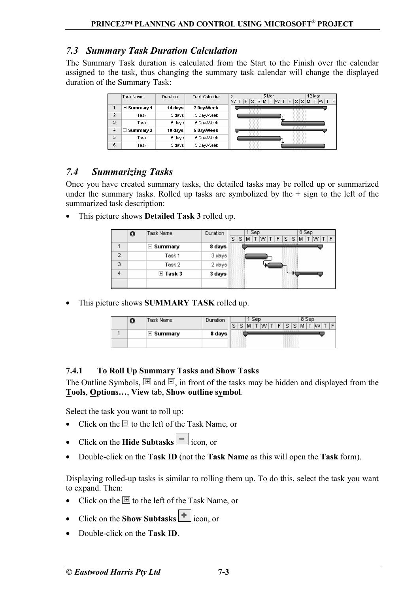# *7.3 Summary Task Duration Calculation*

The Summary Task duration is calculated from the Start to the Finish over the calendar assigned to the task, thus changing the summary task calendar will change the displayed duration of the Summary Task:

|              | Task Name           | Duration | Task Calendar |   |  |   | 5 Mar |   |   | 12 Mar |     |  |   |   |   |   |   |    |     |
|--------------|---------------------|----------|---------------|---|--|---|-------|---|---|--------|-----|--|---|---|---|---|---|----|-----|
|              |                     |          |               | w |  | F | s     | s | м |        | W T |  | F | s | s | м | T | W. | T F |
| $\mathbf{1}$ | $\boxdot$ Summary 1 | 14 days  | 7 Day/Week    |   |  |   |       |   |   |        |     |  |   |   |   |   |   |    |     |
| 2            | Task                | 5 days   | 5 Day/Week    |   |  |   |       |   |   |        |     |  |   |   |   |   |   |    |     |
| 3            | Task                | 5 days   | 5 Day / Veek  |   |  |   |       |   |   |        |     |  |   |   |   |   |   |    |     |
| 4            | $\equiv$ Summary 2  | 10 days  | 5 Day/Week    |   |  |   |       |   |   |        |     |  |   |   |   |   |   |    |     |
| 5            | Task                | 5 days   | 5 Day / Veek  |   |  |   |       |   |   |        |     |  |   |   |   |   |   |    |     |
| 6            | Task                | 5 days   | 5 Day/Week    |   |  |   |       |   |   |        |     |  |   | . |   |   |   |    |     |

# *7.4 Summarizing Tasks*

Once you have created summary tasks, the detailed tasks may be rolled up or summarized under the summary tasks. Rolled up tasks are symbolized by the  $+$  sign to the left of the summarized task description:

• This picture shows **Detailed Task 3** rolled up.

|                | Θ | Task Name                    | Duration |   | 1 Sep |   |  |         |  |  |      |    |   | 8 Sep |   |  |    |  |  |
|----------------|---|------------------------------|----------|---|-------|---|--|---------|--|--|------|----|---|-------|---|--|----|--|--|
|                |   |                              |          | s | s     | м |  | IWIT IF |  |  | IS I | s. | M |       | w |  | 1F |  |  |
|                |   | $\boxdot$ Summary            | 8 days   |   |       |   |  |         |  |  |      |    |   |       |   |  |    |  |  |
| $\overline{2}$ |   | Task 1                       | 3 days   |   |       |   |  |         |  |  |      |    |   |       |   |  |    |  |  |
| 3              |   | Task 2                       | 2 days   |   |       |   |  |         |  |  |      |    |   |       |   |  |    |  |  |
| 4              |   | Task 3<br>$\left  + \right $ | 3 days   |   |       |   |  |         |  |  |      |    |   |       |   |  |    |  |  |
|                |   |                              |          |   |       |   |  |         |  |  |      |    |   |       |   |  |    |  |  |

• This picture shows **SUMMARY TASK** rolled up.

| A | Task Name | <b>Duration</b> |    |    | 8 Sep<br>1 Sep |  |            |  |  |  |    |  |    |  |          |
|---|-----------|-----------------|----|----|----------------|--|------------|--|--|--|----|--|----|--|----------|
|   |           |                 | s. | s. | M.             |  | W[T F S S] |  |  |  | MI |  | wl |  | <b>C</b> |
|   | ⊞ Summary | 8 days          |    |    |                |  |            |  |  |  |    |  |    |  |          |
|   |           |                 |    |    |                |  |            |  |  |  |    |  |    |  |          |

### **7.4.1 To Roll Up Summary Tasks and Show Tasks**

The Outline Symbols,  $\Box$  and  $\Box$ , in front of the tasks may be hidden and displayed from the **Tools**, **Options…**, **View** tab, **Show outline symbol**.

Select the task you want to roll up:

- Click on the  $\Box$  to the left of the Task Name, or
- Click on the **Hide Subtasks**  $\boxed{\phantom{a}}$  icon, or
- Double-click on the **Task ID** (not the **Task Name** as this will open the **Task** form).

Displaying rolled-up tasks is similar to rolling them up. To do this, select the task you want to expand. Then:

- Click on the  $\blacksquare$  to the left of the Task Name, or
- Click on the **Show Subtasks**  $\left| \frac{+}{+} \right|$  icon, or
- Double-click on the **Task ID**.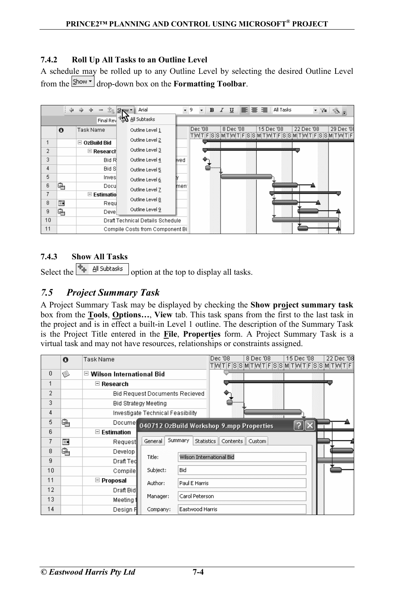#### **7.4.2 Roll Up All Tasks to an Outline Level**

A schedule may be rolled up to any Outline Level by selecting the desired Outline Level from the  $\boxed{\frac{\text{Show } \cdot \cdot}{\text{drop-down box on the Formating Toolbox}}$ .

|    |          |                       | Strw * | Arial                                     |        |                                                |           |  |            |            | - Y=   % |            |
|----|----------|-----------------------|--------|-------------------------------------------|--------|------------------------------------------------|-----------|--|------------|------------|----------|------------|
|    |          |                       |        | Final Rev $\sqrt[+1]{\text{Al}}$ Subtasks |        |                                                |           |  |            |            |          |            |
|    | $\theta$ | Task Name             |        | Outline Level 1                           |        | Dec '08<br>TWTFSSMTWTFSSMTWTFSSMTWTFTXTFSSMTWT | 8 Dec '08 |  | 15 Dec '08 | 22 Dec '08 |          | 29 Dec '08 |
|    |          | $\boxdot$ OzBuild Bid |        | Outline Level 2                           |        |                                                |           |  |            |            |          |            |
| 2  |          | $\boxminus$ Research  |        | Outline Level 3                           |        |                                                |           |  |            |            |          |            |
| 3  |          | Bid R                 |        | Outline Level 4                           | lived. |                                                |           |  |            |            |          |            |
| 4  |          | <b>Bid SI</b>         |        | Outline Level 5                           |        |                                                |           |  |            |            |          |            |
| 5  |          | Invest                |        | Outline Level 6                           |        |                                                |           |  |            |            |          |            |
| 6  | G,       | Docul                 |        | Outline Level 7                           | men:   |                                                |           |  |            |            |          |            |
| 7  |          | $\boxdot$ Estimatio   |        | Outline Level 8                           |        |                                                |           |  |            |            |          |            |
| 8  | ĦΒ       | Regul                 |        |                                           |        |                                                |           |  |            |            |          |            |
| 9  | G,       | Devel                 |        | Outline Level 9                           |        |                                                |           |  |            |            |          |            |
| 10 |          |                       |        | Draft Technical Details Schedule          |        |                                                |           |  |            |            |          |            |
| 11 |          |                       |        | Compile Costs from Component Bi           |        |                                                |           |  |            |            |          |            |

#### **7.4.3 Show All Tasks**

Select the  $\frac{1}{\sqrt{2}}$   $\frac{d}{dx}$  subtasks option at the top to display all tasks.

# *7.5 Project Summary Task*

A Project Summary Task may be displayed by checking the **Show project summary task** box from the **Tools**, **Options…**, **View** tab. This task spans from the first to the last task in the project and is in effect a built-in Level 1 outline. The description of the Summary Task is the Project Title entered in the **File**, **Properties** form. A Project Summary Task is a virtual task and may not have resources, relationships or constraints assigned.

|              | $\bullet$ | Task Name                          |                                          |                              | Dec '08  | 8 Dec '08 | 15 Dec '08<br>TMTFSSMTMTFSSMTMTFSSMTMTT | 22 Dec '08 |
|--------------|-----------|------------------------------------|------------------------------------------|------------------------------|----------|-----------|-----------------------------------------|------------|
| $\mathbf{0}$ | ⊜         | $\boxdot$ Wilson International Bid |                                          |                              |          |           |                                         |            |
| 1            |           | Research<br>E.                     |                                          |                              |          |           |                                         |            |
| 2            |           |                                    | <b>Bid Request Documents Recieved</b>    |                              |          |           |                                         |            |
| 3            |           | <b>Bid Strategy Meeting</b>        |                                          |                              |          |           |                                         |            |
| 4            |           |                                    | Investigate Technical Feasibility        |                              |          |           |                                         |            |
| 5            | G,        | Docume                             | 040712 OzBuild Workshop 9.mpp Properties |                              |          |           |                                         |            |
| 6            |           | Estimation<br>E                    |                                          |                              |          |           |                                         |            |
| 7            | ĦΡ        | Request                            | General                                  | Summary<br><b>Statistics</b> | Contents | Custom    |                                         |            |
| 8            | q,        | Develop                            | Title:                                   | Wilson International Bid     |          |           |                                         |            |
| 9            |           | Draft Ted                          |                                          |                              |          |           |                                         |            |
| 10           |           | Compile                            | Subject:                                 | Bid                          |          |           |                                         |            |
| 11           |           | Proposal<br>⊟                      | Author:                                  | Paul E Harris                |          |           |                                         |            |
| 12           |           | Draft Bid                          |                                          |                              |          |           |                                         |            |
| 13           |           | Meeting t                          | Manager:                                 | Carol Peterson               |          |           |                                         |            |
| 14           |           | Design F                           | Company:                                 | Eastwood Harris              |          |           |                                         |            |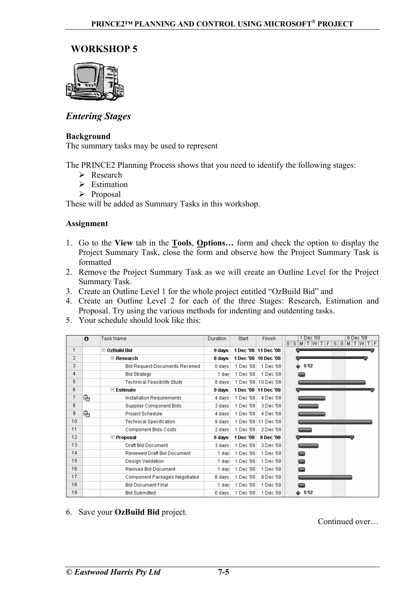### **WORKSHOP 5**



### *Entering Stages*

#### **Background**

The summary tasks may be used to represent

The PRINCE2 Planning Process shows that you need to identify the following stages:

- $\triangleright$  Research
- $\triangleright$  Estimation
- ¾ Proposal

These will be added as Summary Tasks in this workshop.

#### **Assignment**

- 1. Go to the **View** tab in the **Tools**, **Options…** form and check the option to display the Project Summary Task, close the form and observe how the Project Summary Task is formatted
- 2. Remove the Project Summary Task as we will create an Outline Level for the Project Summary Task.
- 3. Create an Outline Level 1 for the whole project entitled "OzBuild Bid" and
- 4. Create an Outline Level 2 for each of the three Stages: Research, Estimation and Proposal. Try using the various methods for indenting and outdenting tasks.
- 5. Your schedule should look like this:

|                | O  | Task Name                             | Duration | Start     | Finish                 | 1 Dec '08<br>8 Dec '08<br>s<br>$S$ M $T$ W $T$<br>l F<br>S S<br>M[T W T F] |
|----------------|----|---------------------------------------|----------|-----------|------------------------|----------------------------------------------------------------------------|
| $\mathbf{1}$   |    | $\boxdot$ OzBuild Bid                 | 9 days   |           | 1 Dec '08   11 Dec '08 |                                                                            |
| $\overline{2}$ |    | $\boxdot$ Research                    | 8 days   |           | 1 Dec '08   10 Dec '08 |                                                                            |
| 3              |    | <b>Bid Request Documents Received</b> | 0 days   | 1 Dec '08 | 1 Dec '08              | 1/12                                                                       |
| 4              |    | <b>Bid Strategy</b>                   | 1 day    | 1 Dec '08 | 1 Dec '08              |                                                                            |
| 5              |    | Technical Feasibility Study           | 8 days   |           | 1 Dec '08   10 Dec '08 |                                                                            |
| 6              |    | $\Box$ Estimate                       | 9 days   |           | 1 Dec '08   11 Dec '08 |                                                                            |
| $\overline{7}$ | 噅  | Installation Requirements             | 4 days   | 1 Dec '08 | 4 Dec '08              |                                                                            |
| 8              |    | Supplier Component Bids               | 3 days   | 1 Dec '08 | 3 Dec '08              |                                                                            |
| 9              | G, | Project Schedule                      | 4 days   | 1 Dec '08 | 4 Dec '08              |                                                                            |
| 10             |    | <b>Technical Specification</b>        | 9 days   |           | 1 Dec '08   11 Dec '08 |                                                                            |
| 11             |    | Component Bids Costs                  | 2 days   | 1 Dec '08 | 2 Dec '08              |                                                                            |
| 12             |    | $\Box$ Proposal                       | 6 days   | 1 Dec '08 | 8 Dec '08              |                                                                            |
| 13             |    | Draft Bid Document                    | 3 days   | 1 Dec '08 | 3 Dec '08              |                                                                            |
| 14             |    | Reviewed Draft Bid Document           | 1 day    | 1 Dec '08 | 1 Dec '08              |                                                                            |
| 15             |    | Design Validation                     | 1 day    | 1 Dec '08 | 1 Dec '08              |                                                                            |
| 16             |    | Revised Bid Document                  | 1 day    | 1 Dec '08 | 1 Dec '08              |                                                                            |
| 17             |    | Component Packages Negotiated         | 6 days   | 1 Dec '08 | 8 Dec '08              |                                                                            |
| 18             |    | <b>Bid Document Final</b>             | 1 day    | 1 Dec '08 | 1 Dec '08              |                                                                            |
| 19             |    | <b>Bid Submitted</b>                  | 0 days   | 1 Dec '08 | 1 Dec '08              | 1/12                                                                       |

6. Save your **OzBuild Bid** project.

Continued over…